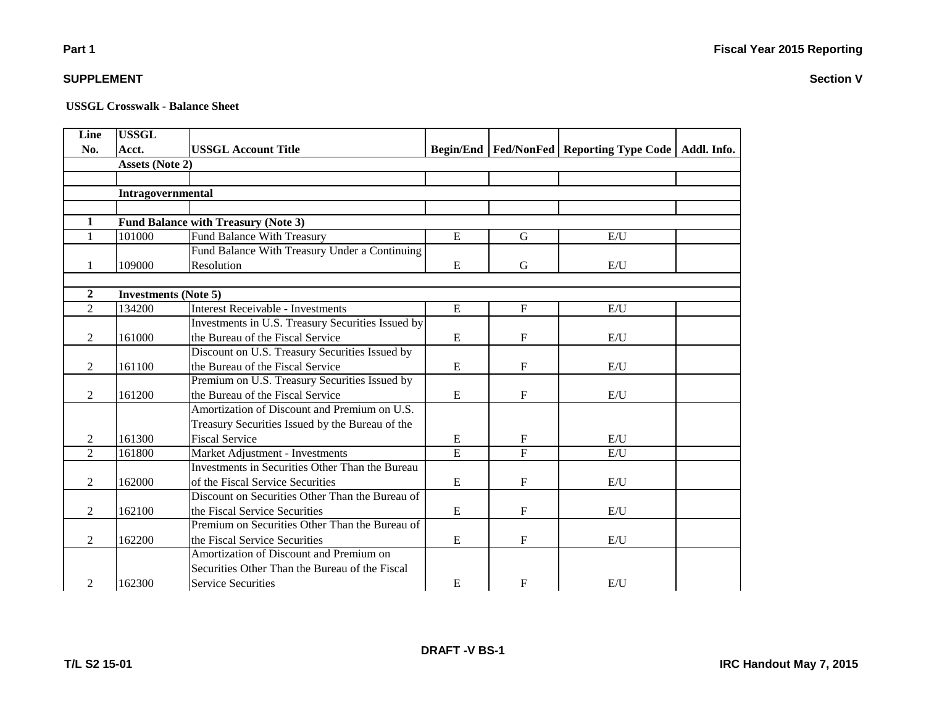**Section V**

# **Part 1**

### **SUPPLEMENT**

| Line                                            | <b>USSGL</b>                |                                                   |           |                           |                                                            |  |  |  |  |
|-------------------------------------------------|-----------------------------|---------------------------------------------------|-----------|---------------------------|------------------------------------------------------------|--|--|--|--|
| No.                                             | Acct.                       | <b>USSGL Account Title</b>                        |           |                           | Begin/End   Fed/NonFed   Reporting Type Code   Addl. Info. |  |  |  |  |
| <b>Assets (Note 2)</b>                          |                             |                                                   |           |                           |                                                            |  |  |  |  |
|                                                 |                             |                                                   |           |                           |                                                            |  |  |  |  |
|                                                 | Intragovernmental           |                                                   |           |                           |                                                            |  |  |  |  |
|                                                 |                             |                                                   |           |                           |                                                            |  |  |  |  |
| <b>Fund Balance with Treasury (Note 3)</b><br>1 |                             |                                                   |           |                           |                                                            |  |  |  |  |
| $\mathbf{1}$                                    | 101000                      | <b>Fund Balance With Treasury</b>                 | E         | G                         | E/U                                                        |  |  |  |  |
|                                                 |                             | Fund Balance With Treasury Under a Continuing     |           |                           |                                                            |  |  |  |  |
| 1                                               | 109000                      | Resolution                                        | E         | G                         | E/U                                                        |  |  |  |  |
|                                                 |                             |                                                   |           |                           |                                                            |  |  |  |  |
| $\boldsymbol{2}$                                | <b>Investments (Note 5)</b> |                                                   |           |                           |                                                            |  |  |  |  |
| $\overline{2}$                                  | 134200                      | <b>Interest Receivable - Investments</b>          | ${\bf E}$ | $\mathbf F$               | E/I                                                        |  |  |  |  |
|                                                 |                             | Investments in U.S. Treasury Securities Issued by |           |                           |                                                            |  |  |  |  |
| $\mathfrak{2}$                                  | 161000                      | the Bureau of the Fiscal Service                  | E         | $\mathbf F$               | E/U                                                        |  |  |  |  |
|                                                 |                             | Discount on U.S. Treasury Securities Issued by    |           |                           |                                                            |  |  |  |  |
| 2                                               | 161100                      | the Bureau of the Fiscal Service                  | E         | $\mathbf{F}$              | E/I                                                        |  |  |  |  |
|                                                 |                             | Premium on U.S. Treasury Securities Issued by     |           |                           |                                                            |  |  |  |  |
| 2                                               | 161200                      | the Bureau of the Fiscal Service                  | E         | $\mathbf{F}$              | E/U                                                        |  |  |  |  |
|                                                 |                             | Amortization of Discount and Premium on U.S.      |           |                           |                                                            |  |  |  |  |
|                                                 |                             | Treasury Securities Issued by the Bureau of the   |           |                           |                                                            |  |  |  |  |
| 2                                               | 161300                      | <b>Fiscal Service</b>                             | E         | $\mathbf F$               | E/U                                                        |  |  |  |  |
| $\mathfrak{D}$                                  | 161800                      | Market Adjustment - Investments                   | E         | $\overline{F}$            | E/U                                                        |  |  |  |  |
|                                                 |                             | Investments in Securities Other Than the Bureau   |           |                           |                                                            |  |  |  |  |
| 2                                               | 162000                      | of the Fiscal Service Securities                  | E         | F                         | E/U                                                        |  |  |  |  |
|                                                 |                             | Discount on Securities Other Than the Bureau of   |           |                           |                                                            |  |  |  |  |
| 2                                               | 162100                      | the Fiscal Service Securities                     | E         | F                         | E/U                                                        |  |  |  |  |
|                                                 |                             | Premium on Securities Other Than the Bureau of    |           |                           |                                                            |  |  |  |  |
| 2                                               | 162200                      | the Fiscal Service Securities                     | E         | $\boldsymbol{\mathrm{F}}$ | E/U                                                        |  |  |  |  |
|                                                 |                             | Amortization of Discount and Premium on           |           |                           |                                                            |  |  |  |  |
|                                                 |                             | Securities Other Than the Bureau of the Fiscal    |           |                           |                                                            |  |  |  |  |
| 2                                               | 162300                      | <b>Service Securities</b>                         | E         | $\mathbf{F}$              | E/U                                                        |  |  |  |  |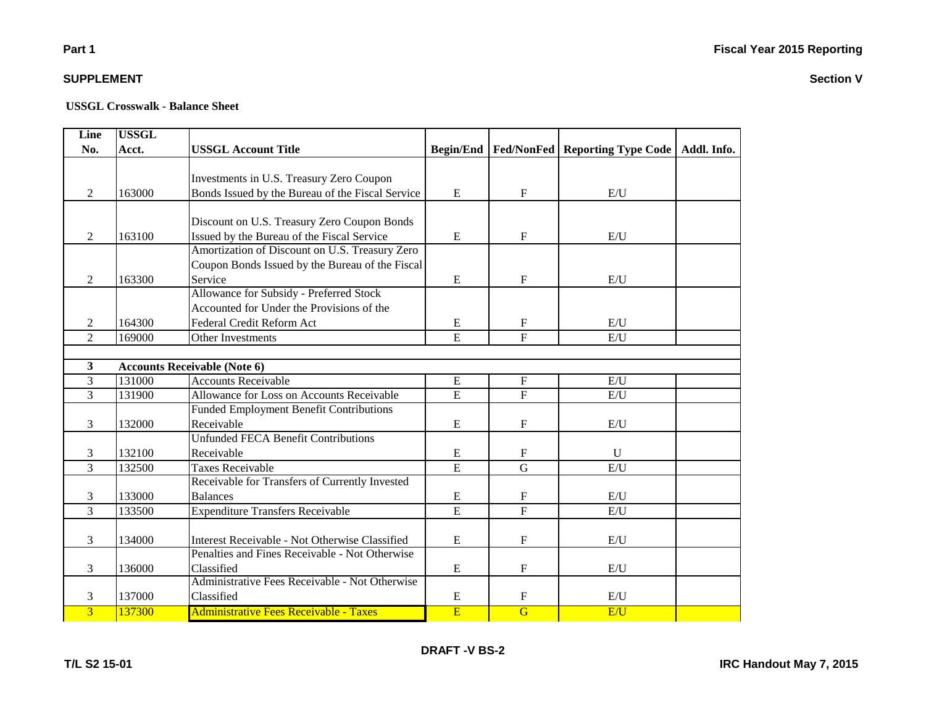# **Part 1**

### **SUPPLEMENT**

| Line           | <b>USSGL</b> |                                                  |                  |                |                                                |  |
|----------------|--------------|--------------------------------------------------|------------------|----------------|------------------------------------------------|--|
| No.            | Acct.        | <b>USSGL Account Title</b>                       | <b>Begin/End</b> |                | Fed/NonFed   Reporting Type Code   Addl. Info. |  |
|                |              |                                                  |                  |                |                                                |  |
|                |              | Investments in U.S. Treasury Zero Coupon         |                  |                |                                                |  |
| 2              | 163000       | Bonds Issued by the Bureau of the Fiscal Service | E                | $\mathbf F$    | E/U                                            |  |
|                |              |                                                  |                  |                |                                                |  |
|                |              | Discount on U.S. Treasury Zero Coupon Bonds      |                  |                |                                                |  |
| 2              | 163100       | Issued by the Bureau of the Fiscal Service       | E                | $\mathbf F$    | E/I                                            |  |
|                |              | Amortization of Discount on U.S. Treasury Zero   |                  |                |                                                |  |
|                |              | Coupon Bonds Issued by the Bureau of the Fiscal  |                  |                |                                                |  |
| 2              | 163300       | Service                                          | E                | $\mathbf F$    | E/U                                            |  |
|                |              | Allowance for Subsidy - Preferred Stock          |                  |                |                                                |  |
|                |              | Accounted for Under the Provisions of the        |                  |                |                                                |  |
| 2              | 164300       | Federal Credit Reform Act                        | E                | $\mathbf F$    | E/U                                            |  |
| $\overline{2}$ | 169000       | Other Investments                                | $\overline{E}$   | $\overline{F}$ | E/U                                            |  |
|                |              |                                                  |                  |                |                                                |  |
| 3              |              | <b>Accounts Receivable (Note 6)</b>              |                  |                |                                                |  |
| 3              | 131000       | <b>Accounts Receivable</b>                       | ${\bf E}$        | $\mathbf F$    | E/U                                            |  |
| $\overline{3}$ | 131900       | Allowance for Loss on Accounts Receivable        | ${\bf E}$        | $\overline{F}$ | E/U                                            |  |
|                |              | <b>Funded Employment Benefit Contributions</b>   |                  |                |                                                |  |
| 3              | 132000       | Receivable                                       | ${\bf E}$        | $\mathbf{F}$   | E/U                                            |  |
|                |              | <b>Unfunded FECA Benefit Contributions</b>       |                  |                |                                                |  |
| 3              | 132100       | Receivable                                       | E                | $\mathbf F$    | $\mathbf{U}$                                   |  |
| $\overline{3}$ | 132500       | <b>Taxes Receivable</b>                          | $\overline{E}$   | $\overline{G}$ | E/U                                            |  |
|                |              | Receivable for Transfers of Currently Invested   |                  |                |                                                |  |
| 3              | 133000       | <b>Balances</b>                                  | E                | F              | E/U                                            |  |
| $\overline{3}$ | 133500       | <b>Expenditure Transfers Receivable</b>          | $\overline{E}$   | $\overline{F}$ | E/U                                            |  |
|                |              |                                                  |                  |                |                                                |  |
| 3              | 134000       | Interest Receivable - Not Otherwise Classified   | ${\bf E}$        | $\mathbf F$    | E/U                                            |  |
|                |              | Penalties and Fines Receivable - Not Otherwise   |                  |                |                                                |  |
| 3              | 136000       | Classified                                       | ${\bf E}$        | $\mathbf F$    | E/U                                            |  |
|                |              | Administrative Fees Receivable - Not Otherwise   |                  |                |                                                |  |
| 3              | 137000       | Classified                                       | E                | $\mathbf{F}$   | E/I                                            |  |
| $\overline{3}$ | 137300       | <b>Administrative Fees Receivable - Taxes</b>    | E                | $\overline{G}$ | E/U                                            |  |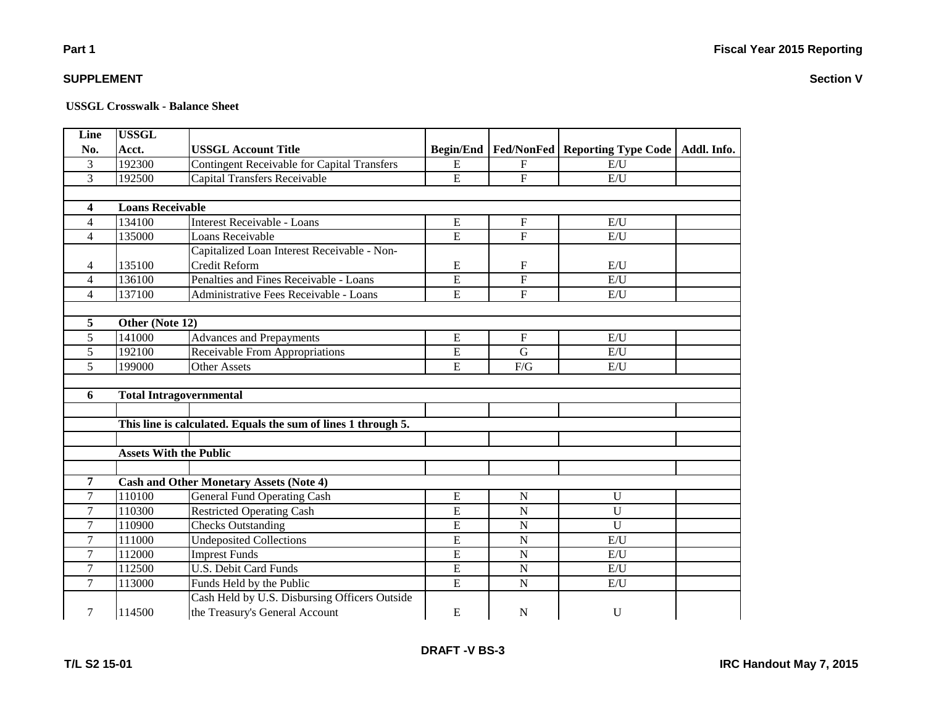#### **USSGL Crosswalk - Balance Sheet**

| Line                    | <b>USSGL</b>                  |                                                               |                  |                           |                                  |             |  |  |
|-------------------------|-------------------------------|---------------------------------------------------------------|------------------|---------------------------|----------------------------------|-------------|--|--|
| No.                     | Acct.                         | <b>USSGL Account Title</b>                                    | <b>Begin/End</b> |                           | Fed/NonFed   Reporting Type Code | Addl. Info. |  |  |
| 3                       | 192300                        | <b>Contingent Receivable for Capital Transfers</b>            | E                | $\mathbf F$               | E/U                              |             |  |  |
| 3                       | 192500                        | <b>Capital Transfers Receivable</b>                           | E                | $\mathbf{F}$              | E/U                              |             |  |  |
|                         |                               |                                                               |                  |                           |                                  |             |  |  |
| $\overline{\mathbf{4}}$ | <b>Loans Receivable</b>       |                                                               |                  |                           |                                  |             |  |  |
| $\overline{4}$          | 134100                        | Interest Receivable - Loans                                   | ${\bf E}$        | $\boldsymbol{\mathrm{F}}$ | E/U                              |             |  |  |
| $\overline{4}$          | 135000                        | Loans Receivable                                              | $\overline{E}$   | $\overline{F}$            | E/U                              |             |  |  |
|                         |                               | Capitalized Loan Interest Receivable - Non-                   |                  |                           |                                  |             |  |  |
| 4                       | 135100                        | <b>Credit Reform</b>                                          | E                | F                         | E/U                              |             |  |  |
| $\overline{4}$          | 136100                        | Penalties and Fines Receivable - Loans                        | E                | $\mathbf F$               | E/U                              |             |  |  |
| $\overline{4}$          | 137100                        | Administrative Fees Receivable - Loans                        | E                | $\mathbf{F}$              | E/U                              |             |  |  |
|                         |                               |                                                               |                  |                           |                                  |             |  |  |
| 5                       | Other (Note 12)               |                                                               |                  |                           |                                  |             |  |  |
| 5                       | 141000                        | <b>Advances and Prepayments</b>                               | E                | $\mathbf{F}$              | E/U                              |             |  |  |
| 5                       | 192100                        | Receivable From Appropriations                                | ${\bf E}$        | G                         | E/U                              |             |  |  |
| 5                       | 199000                        | <b>Other Assets</b>                                           | E                | F/G                       | E/U                              |             |  |  |
|                         |                               |                                                               |                  |                           |                                  |             |  |  |
| 6                       |                               | <b>Total Intragovernmental</b>                                |                  |                           |                                  |             |  |  |
|                         |                               |                                                               |                  |                           |                                  |             |  |  |
|                         |                               | This line is calculated. Equals the sum of lines 1 through 5. |                  |                           |                                  |             |  |  |
|                         |                               |                                                               |                  |                           |                                  |             |  |  |
|                         | <b>Assets With the Public</b> |                                                               |                  |                           |                                  |             |  |  |
|                         |                               |                                                               |                  |                           |                                  |             |  |  |
| 7                       |                               | <b>Cash and Other Monetary Assets (Note 4)</b>                |                  |                           |                                  |             |  |  |
| 7                       | 110100                        | <b>General Fund Operating Cash</b>                            | ${\bf E}$        | N                         | $\mathbf U$                      |             |  |  |
| $\overline{7}$          | 110300                        | <b>Restricted Operating Cash</b>                              | $\overline{E}$   | $\overline{N}$            | $\overline{U}$                   |             |  |  |
| $\tau$                  | 110900                        | <b>Checks Outstanding</b>                                     | E                | $\mathbf N$               | U                                |             |  |  |
| $\tau$                  | 111000                        | <b>Undeposited Collections</b>                                | E                | $\mathbf N$               | E/U                              |             |  |  |
| $\overline{7}$          | 112000                        | <b>Imprest Funds</b>                                          | $\overline{E}$   | $\overline{N}$            | E/U                              |             |  |  |
| $\tau$                  | 112500                        | <b>U.S. Debit Card Funds</b>                                  | $\overline{E}$   | $\mathbf N$               | E/U                              |             |  |  |
| 7                       | 113000                        | Funds Held by the Public                                      | $\overline{E}$   | $\mathbf N$               | E/U                              |             |  |  |
|                         |                               | Cash Held by U.S. Disbursing Officers Outside                 |                  |                           |                                  |             |  |  |
| $\tau$                  | 114500                        | the Treasury's General Account                                | ${\bf E}$        | N                         | $\mathbf U$                      |             |  |  |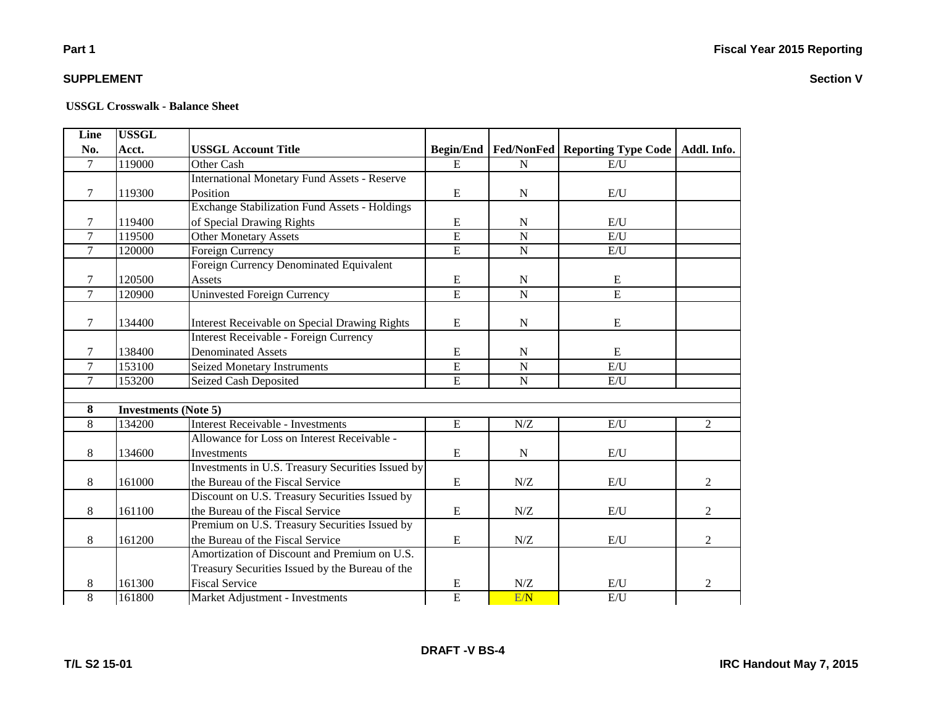# **Part 1**

### **SUPPLEMENT**

| Line           | <b>USSGL</b>                |                                                      |                  |                     |                                           |                |
|----------------|-----------------------------|------------------------------------------------------|------------------|---------------------|-------------------------------------------|----------------|
| No.            | Acct.                       | <b>USSGL Account Title</b>                           | <b>Begin/End</b> |                     | <b>Fed/NonFed   Reporting Type Code  </b> | Addl. Info.    |
| $\overline{7}$ | 119000                      | Other Cash                                           | E                | $\mathbf N$         | E/U                                       |                |
|                |                             | <b>International Monetary Fund Assets - Reserve</b>  |                  |                     |                                           |                |
| 7              | 119300                      | Position                                             | E                | N                   | E/U                                       |                |
|                |                             | <b>Exchange Stabilization Fund Assets - Holdings</b> |                  |                     |                                           |                |
| $\tau$         | 119400                      | of Special Drawing Rights                            | ${\bf E}$        | $\mathbf N$         | E/U                                       |                |
| $\tau$         | 119500                      | <b>Other Monetary Assets</b>                         | $\overline{E}$   | $\mathbf N$         | E/U                                       |                |
| $\overline{7}$ | 120000                      | Foreign Currency                                     | $\overline{E}$   | ${\bf N}$           | E/U                                       |                |
|                |                             | Foreign Currency Denominated Equivalent              |                  |                     |                                           |                |
| $\tau$         | 120500                      | Assets                                               | ${\bf E}$        | $\mathbf N$         | E                                         |                |
| $\overline{7}$ | 120900                      | <b>Uninvested Foreign Currency</b>                   | $\overline{E}$   | $\mathbf N$         | $\overline{E}$                            |                |
|                |                             |                                                      |                  |                     |                                           |                |
| 7              | 134400                      | <b>Interest Receivable on Special Drawing Rights</b> | ${\bf E}$        | ${\bf N}$           | $\mathbf E$                               |                |
|                |                             | <b>Interest Receivable - Foreign Currency</b>        |                  |                     |                                           |                |
| 7              | 138400                      | <b>Denominated Assets</b>                            | E                | N                   | E                                         |                |
| $\overline{7}$ | 153100                      | <b>Seized Monetary Instruments</b>                   | $\overline{E}$   | $\overline{N}$      | E/U                                       |                |
| $\overline{7}$ | 153200                      | Seized Cash Deposited                                | $\overline{E}$   | $\mathbf N$         | E/U                                       |                |
|                |                             |                                                      |                  |                     |                                           |                |
| 8              | <b>Investments (Note 5)</b> |                                                      |                  |                     |                                           |                |
| 8              | 134200                      | Interest Receivable - Investments                    | E                | N/Z                 | E/U                                       | $\overline{2}$ |
|                |                             | Allowance for Loss on Interest Receivable -          |                  |                     |                                           |                |
| 8              | 134600                      | <b>Investments</b>                                   | ${\bf E}$        | N                   | E/U                                       |                |
|                |                             | Investments in U.S. Treasury Securities Issued by    |                  |                     |                                           |                |
| 8              | 161000                      | the Bureau of the Fiscal Service                     | ${\bf E}$        | $N\!/\!Z$           | E/U                                       | $\overline{2}$ |
|                |                             | Discount on U.S. Treasury Securities Issued by       |                  |                     |                                           |                |
| 8              | 161100                      | the Bureau of the Fiscal Service                     | ${\bf E}$        | $N\!/\!Z$           | E/U                                       | $\overline{2}$ |
|                |                             | Premium on U.S. Treasury Securities Issued by        |                  |                     |                                           |                |
| 8              | 161200                      | the Bureau of the Fiscal Service                     | ${\bf E}$        | ${\rm N} / {\rm Z}$ | E/U                                       | $\overline{2}$ |
|                |                             | Amortization of Discount and Premium on U.S.         |                  |                     |                                           |                |
|                |                             | Treasury Securities Issued by the Bureau of the      |                  |                     |                                           |                |
| 8              | 161300                      | <b>Fiscal Service</b>                                | E                | N/Z                 | E/U                                       | $\overline{2}$ |
| 8              | 161800                      | Market Adjustment - Investments                      | $\overline{E}$   | E/N                 | E/U                                       |                |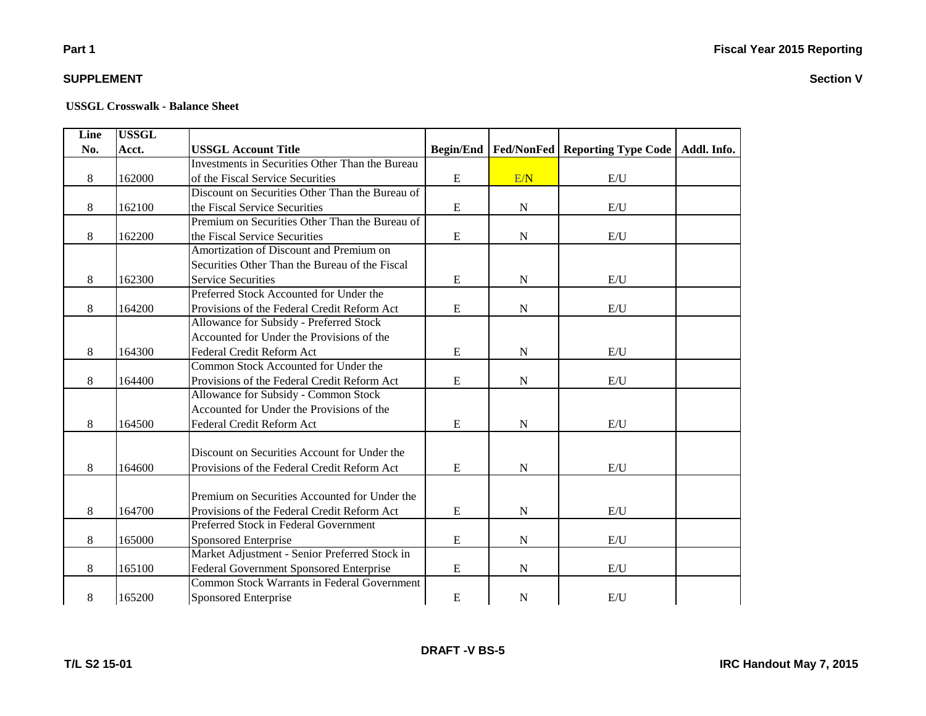# **Part 1**

# **SUPPLEMENT**

#### **USSGL Crosswalk - Balance Sheet**

| Line | <b>USSGL</b> |                                                        |                  |                   |                            |             |
|------|--------------|--------------------------------------------------------|------------------|-------------------|----------------------------|-------------|
| No.  | Acct.        | <b>USSGL Account Title</b>                             | <b>Begin/End</b> | <b>Fed/NonFed</b> | <b>Reporting Type Code</b> | Addl. Info. |
|      |              | <b>Investments in Securities Other Than the Bureau</b> |                  |                   |                            |             |
| 8    | 162000       | of the Fiscal Service Securities                       | ${\bf E}$        | E/N               | $\mathbf{E}/\mathbf{U}$    |             |
|      |              | Discount on Securities Other Than the Bureau of        |                  |                   |                            |             |
| 8    | 162100       | the Fiscal Service Securities                          | ${\bf E}$        | ${\bf N}$         | E/U                        |             |
|      |              | Premium on Securities Other Than the Bureau of         |                  |                   |                            |             |
| 8    | 162200       | the Fiscal Service Securities                          | ${\bf E}$        | ${\bf N}$         | E/U                        |             |
|      |              | Amortization of Discount and Premium on                |                  |                   |                            |             |
|      |              | Securities Other Than the Bureau of the Fiscal         |                  |                   |                            |             |
| 8    | 162300       | <b>Service Securities</b>                              | E                | ${\bf N}$         | E/U                        |             |
|      |              | Preferred Stock Accounted for Under the                |                  |                   |                            |             |
| 8    | 164200       | Provisions of the Federal Credit Reform Act            | E                | ${\bf N}$         | E/U                        |             |
|      |              | Allowance for Subsidy - Preferred Stock                |                  |                   |                            |             |
|      |              | Accounted for Under the Provisions of the              |                  |                   |                            |             |
| 8    | 164300       | Federal Credit Reform Act                              | E                | ${\bf N}$         | E/U                        |             |
|      |              | Common Stock Accounted for Under the                   |                  |                   |                            |             |
| 8    | 164400       | Provisions of the Federal Credit Reform Act            | ${\bf E}$        | ${\bf N}$         | E/U                        |             |
|      |              | Allowance for Subsidy - Common Stock                   |                  |                   |                            |             |
|      |              | Accounted for Under the Provisions of the              |                  |                   |                            |             |
| 8    | 164500       | Federal Credit Reform Act                              | ${\bf E}$        | ${\bf N}$         | E/U                        |             |
|      |              |                                                        |                  |                   |                            |             |
|      |              | Discount on Securities Account for Under the           |                  |                   |                            |             |
| 8    | 164600       | Provisions of the Federal Credit Reform Act            | E                | ${\bf N}$         | E/U                        |             |
|      |              |                                                        |                  |                   |                            |             |
|      |              | Premium on Securities Accounted for Under the          |                  |                   |                            |             |
| 8    | 164700       | Provisions of the Federal Credit Reform Act            | ${\bf E}$        | ${\bf N}$         | E/U                        |             |
|      |              | Preferred Stock in Federal Government                  |                  |                   |                            |             |
| 8    | 165000       | Sponsored Enterprise                                   | ${\bf E}$        | ${\bf N}$         | E/U                        |             |
|      |              | Market Adjustment - Senior Preferred Stock in          |                  |                   |                            |             |
| 8    | 165100       | Federal Government Sponsored Enterprise                | ${\bf E}$        | ${\bf N}$         | E/U                        |             |
|      |              | <b>Common Stock Warrants in Federal Government</b>     |                  |                   |                            |             |
| 8    | 165200       | Sponsored Enterprise                                   | ${\bf E}$        | $\mathbf N$       | E/U                        |             |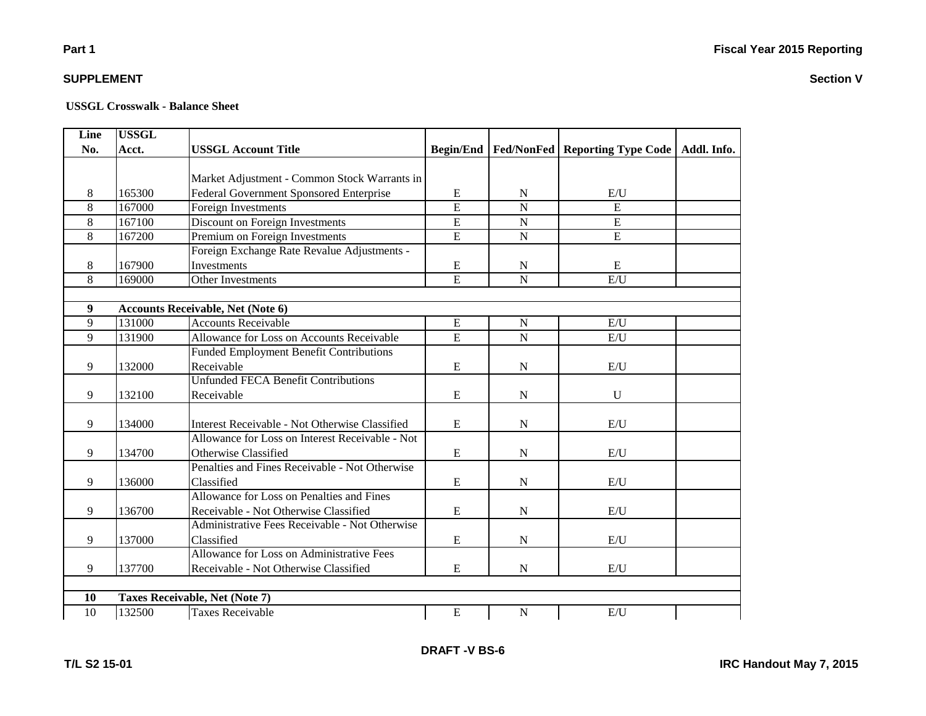| Line             | <b>USSGL</b> |                                                 |                |                |                                                            |  |
|------------------|--------------|-------------------------------------------------|----------------|----------------|------------------------------------------------------------|--|
| No.              | Acct.        | <b>USSGL Account Title</b>                      |                |                | Begin/End   Fed/NonFed   Reporting Type Code   Addl. Info. |  |
|                  |              |                                                 |                |                |                                                            |  |
|                  |              | Market Adjustment - Common Stock Warrants in    |                |                |                                                            |  |
| 8                | 165300       | Federal Government Sponsored Enterprise         | ${\bf E}$      | N              | E/U                                                        |  |
| 8                | 167000       | Foreign Investments                             | $\overline{E}$ | $\overline{N}$ | $\overline{E}$                                             |  |
| 8                | 167100       | Discount on Foreign Investments                 | E              | $\overline{N}$ | $\overline{E}$                                             |  |
| $\overline{8}$   | 167200       | Premium on Foreign Investments                  | E              | $\overline{N}$ | $\overline{E}$                                             |  |
|                  |              | Foreign Exchange Rate Revalue Adjustments -     |                |                |                                                            |  |
| 8                | 167900       | Investments                                     | ${\bf E}$      | $\mathbf N$    | Ε                                                          |  |
| 8                | 169000       | Other Investments                               | E              | $\mathbf N$    | E/U                                                        |  |
|                  |              |                                                 |                |                |                                                            |  |
| $\boldsymbol{9}$ |              | <b>Accounts Receivable, Net (Note 6)</b>        |                |                |                                                            |  |
| 9                | 131000       | <b>Accounts Receivable</b>                      | ${\bf E}$      | $\mathbf N$    | E/U                                                        |  |
| 9                | 131900       | Allowance for Loss on Accounts Receivable       | E              | $\overline{N}$ | E/U                                                        |  |
|                  |              | <b>Funded Employment Benefit Contributions</b>  |                |                |                                                            |  |
| 9                | 132000       | Receivable                                      | E              | $\mathbf N$    | E/U                                                        |  |
|                  |              | <b>Unfunded FECA Benefit Contributions</b>      |                |                |                                                            |  |
| 9                | 132100       | Receivable                                      | ${\bf E}$      | $\mathbf N$    | $\mathbf U$                                                |  |
|                  |              |                                                 |                |                |                                                            |  |
| 9                | 134000       | Interest Receivable - Not Otherwise Classified  | ${\bf E}$      | $\mathbf N$    | E/U                                                        |  |
|                  |              | Allowance for Loss on Interest Receivable - Not |                |                |                                                            |  |
| 9                | 134700       | Otherwise Classified                            | E              | N              | E/U                                                        |  |
|                  |              | Penalties and Fines Receivable - Not Otherwise  |                |                |                                                            |  |
| 9                | 136000       | Classified                                      | ${\bf E}$      | $\mathbf N$    | E/U                                                        |  |
|                  |              | Allowance for Loss on Penalties and Fines       |                |                |                                                            |  |
| 9                | 136700       | Receivable - Not Otherwise Classified           | E              | $\mathbf N$    | E/U                                                        |  |
|                  |              | Administrative Fees Receivable - Not Otherwise  |                |                |                                                            |  |
| 9                | 137000       | Classified                                      | E              | $\mathbf N$    | $\mathbf{E}/\mathbf{U}$                                    |  |
|                  |              | Allowance for Loss on Administrative Fees       |                |                |                                                            |  |
| 9                | 137700       | Receivable - Not Otherwise Classified           | ${\bf E}$      | $\mathbf N$    | E/U                                                        |  |
|                  |              |                                                 |                |                |                                                            |  |
| 10               |              | Taxes Receivable, Net (Note 7)                  |                |                |                                                            |  |
| 10               | 132500       | <b>Taxes Receivable</b>                         | ${\bf E}$      | $\mathbf N$    | E/U                                                        |  |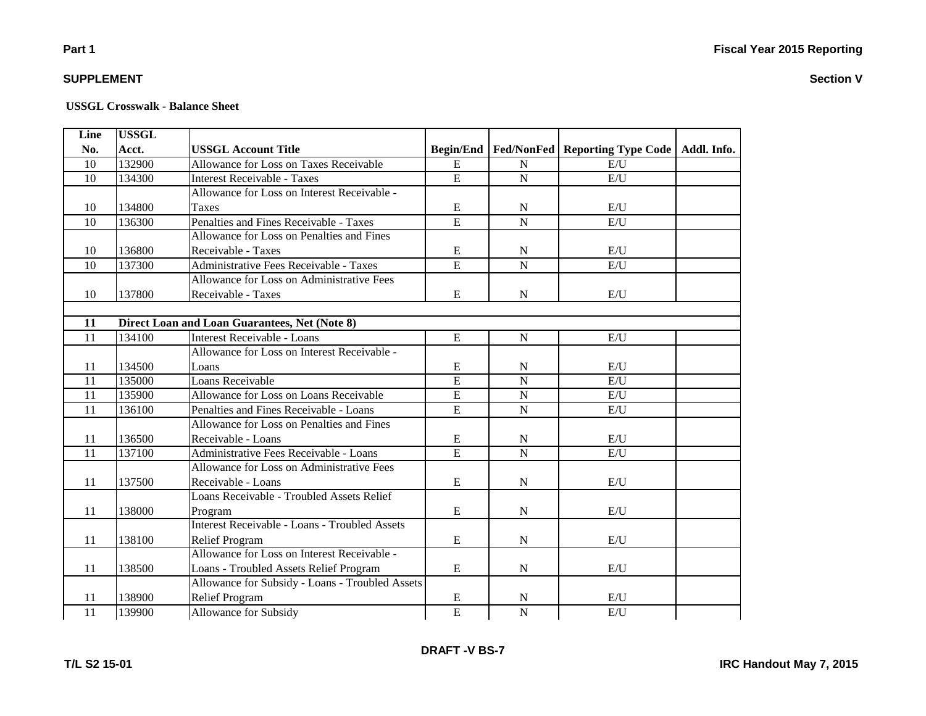# **Part 1**

### **SUPPLEMENT**

| Line            | <b>USSGL</b> |                                                 |                |                |                                                       |             |
|-----------------|--------------|-------------------------------------------------|----------------|----------------|-------------------------------------------------------|-------------|
| No.             | Acct.        | <b>USSGL Account Title</b>                      |                |                | <b>Begin/End   Fed/NonFed   Reporting Type Code  </b> | Addl. Info. |
| 10              | 132900       | Allowance for Loss on Taxes Receivable          | E              | ${\bf N}$      | E/U                                                   |             |
| 10              | 134300       | <b>Interest Receivable - Taxes</b>              | $\overline{E}$ | ${\bf N}$      | $E/\overline{U}$                                      |             |
|                 |              | Allowance for Loss on Interest Receivable -     |                |                |                                                       |             |
| 10              | 134800       | <b>Taxes</b>                                    | $\mathbf E$    | ${\bf N}$      | E/U                                                   |             |
| $\overline{10}$ | 136300       | Penalties and Fines Receivable - Taxes          | $\overline{E}$ | $\overline{N}$ | E/U                                                   |             |
|                 |              | Allowance for Loss on Penalties and Fines       |                |                |                                                       |             |
| 10              | 136800       | Receivable - Taxes                              | ${\bf E}$      | ${\bf N}$      | E/U                                                   |             |
| 10              | 137300       | Administrative Fees Receivable - Taxes          | $\overline{E}$ | $\overline{N}$ | E/U                                                   |             |
|                 |              | Allowance for Loss on Administrative Fees       |                |                |                                                       |             |
| 10              | 137800       | Receivable - Taxes                              | E              | $\mathbf N$    | E/U                                                   |             |
|                 |              |                                                 |                |                |                                                       |             |
| 11              |              | Direct Loan and Loan Guarantees, Net (Note 8)   |                |                |                                                       |             |
| 11              | 134100       | Interest Receivable - Loans                     | E              | ${\bf N}$      | E/U                                                   |             |
|                 |              | Allowance for Loss on Interest Receivable -     |                |                |                                                       |             |
| 11              | 134500       | Loans                                           | E              | $\mathbf N$    | E/U                                                   |             |
| 11              | 135000       | Loans Receivable                                | $\overline{E}$ | $\overline{N}$ | E/U                                                   |             |
| $\overline{11}$ | 135900       | Allowance for Loss on Loans Receivable          | $\overline{E}$ | $\overline{N}$ | $\mathrm{E}/\mathrm{U}$                               |             |
| 11              | 136100       | Penalties and Fines Receivable - Loans          | $\overline{E}$ | ${\bf N}$      | E/U                                                   |             |
|                 |              | Allowance for Loss on Penalties and Fines       |                |                |                                                       |             |
| 11              | 136500       | Receivable - Loans                              | E              | N              | E/U                                                   |             |
| 11              | 137100       | Administrative Fees Receivable - Loans          | $\overline{E}$ | $\overline{N}$ | E/U                                                   |             |
|                 |              | Allowance for Loss on Administrative Fees       |                |                |                                                       |             |
| 11              | 137500       | Receivable - Loans                              | E              | ${\bf N}$      | E/U                                                   |             |
|                 |              | Loans Receivable - Troubled Assets Relief       |                |                |                                                       |             |
| 11              | 138000       | Program                                         | $\mathbf E$    | ${\bf N}$      | E/U                                                   |             |
|                 |              | Interest Receivable - Loans - Troubled Assets   |                |                |                                                       |             |
| 11              | 138100       | <b>Relief Program</b>                           | E              | ${\bf N}$      | E/U                                                   |             |
|                 |              | Allowance for Loss on Interest Receivable -     |                |                |                                                       |             |
| 11              | 138500       | Loans - Troubled Assets Relief Program          | E              | ${\bf N}$      | E/U                                                   |             |
|                 |              | Allowance for Subsidy - Loans - Troubled Assets |                |                |                                                       |             |
| 11              | 138900       | <b>Relief Program</b>                           | E              | ${\bf N}$      | E/U                                                   |             |
| $\overline{11}$ | 139900       | <b>Allowance for Subsidy</b>                    | $\overline{E}$ | $\overline{N}$ | E/U                                                   |             |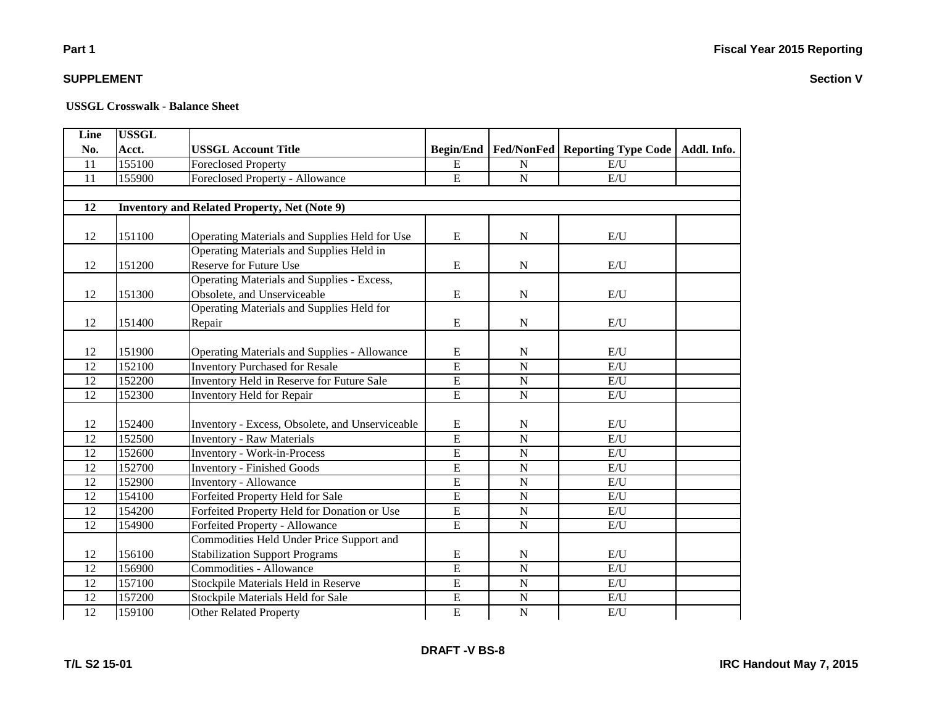**Section V**

# **Part 1**

### **SUPPLEMENT**

#### **USSGL Crosswalk - Balance Sheet**

| Line            | <b>USSGL</b> |                                                     |                  |                |                                           |             |  |  |
|-----------------|--------------|-----------------------------------------------------|------------------|----------------|-------------------------------------------|-------------|--|--|
| No.             | Acct.        | <b>USSGL Account Title</b>                          | <b>Begin/End</b> |                | <b>Fed/NonFed   Reporting Type Code  </b> | Addl. Info. |  |  |
| 11              | 155100       | <b>Foreclosed Property</b>                          | E                | N              | E/I                                       |             |  |  |
| 11              | 155900       | Foreclosed Property - Allowance                     | ${\bf E}$        | $\mathbf N$    | E/U                                       |             |  |  |
|                 |              |                                                     |                  |                |                                           |             |  |  |
| $\overline{12}$ |              | <b>Inventory and Related Property, Net (Note 9)</b> |                  |                |                                           |             |  |  |
|                 |              |                                                     |                  |                |                                           |             |  |  |
| 12              | 151100       | Operating Materials and Supplies Held for Use       | ${\bf E}$        | ${\bf N}$      | $\mathbf{E}/\mathbf{U}$                   |             |  |  |
|                 |              | Operating Materials and Supplies Held in            |                  |                |                                           |             |  |  |
| 12              | 151200       | Reserve for Future Use                              | E                | N              | E/U                                       |             |  |  |
|                 |              | <b>Operating Materials and Supplies - Excess,</b>   |                  |                |                                           |             |  |  |
| 12              | 151300       | Obsolete, and Unserviceable                         | ${\bf E}$        | ${\bf N}$      | E/U                                       |             |  |  |
|                 |              | Operating Materials and Supplies Held for           |                  |                |                                           |             |  |  |
| 12              | 151400       | Repair                                              | ${\bf E}$        | ${\bf N}$      | E/U                                       |             |  |  |
|                 |              |                                                     |                  |                |                                           |             |  |  |
| 12              | 151900       | <b>Operating Materials and Supplies - Allowance</b> | E                | $\mathbf N$    | E/U                                       |             |  |  |
| 12              | 152100       | <b>Inventory Purchased for Resale</b>               | $\overline{E}$   | $\mathbf N$    | E/U                                       |             |  |  |
| 12              | 152200       | Inventory Held in Reserve for Future Sale           | $\overline{E}$   | ${\bf N}$      | $\mathbf{E}/\mathbf{U}$                   |             |  |  |
| 12              | 152300       | Inventory Held for Repair                           | $\overline{E}$   | $\overline{N}$ | $\mathbf{E}/\mathbf{U}$                   |             |  |  |
|                 |              |                                                     |                  |                |                                           |             |  |  |
| 12              | 152400       | Inventory - Excess, Obsolete, and Unserviceable     | E                | N              | E/U                                       |             |  |  |
| 12              | 152500       | <b>Inventory - Raw Materials</b>                    | $\overline{E}$   | $\overline{N}$ | E/U                                       |             |  |  |
| 12              | 152600       | <b>Inventory - Work-in-Process</b>                  | $\overline{E}$   | ${\bf N}$      | E/U                                       |             |  |  |
| 12              | 152700       | <b>Inventory - Finished Goods</b>                   | $\overline{E}$   | ${\bf N}$      | E/U                                       |             |  |  |
| 12              | 152900       | <b>Inventory - Allowance</b>                        | ${\bf E}$        | $\overline{N}$ | E/U                                       |             |  |  |
| 12              | 154100       | Forfeited Property Held for Sale                    | $\overline{E}$   | ${\bf N}$      | E/U                                       |             |  |  |
| 12              | 154200       | Forfeited Property Held for Donation or Use         | ${\bf E}$        | ${\bf N}$      | E/U                                       |             |  |  |
| 12              | 154900       | Forfeited Property - Allowance                      | $\overline{E}$   | $\mathbf N$    | E/I                                       |             |  |  |
|                 |              | Commodities Held Under Price Support and            |                  |                |                                           |             |  |  |
| 12              | 156100       | <b>Stabilization Support Programs</b>               | ${\bf E}$        | ${\bf N}$      | $\mathbf{E}/\mathbf{U}$                   |             |  |  |
| 12              | 156900       | <b>Commodities - Allowance</b>                      | $\overline{E}$   | $\overline{N}$ | E/U                                       |             |  |  |
| 12              | 157100       | Stockpile Materials Held in Reserve                 | $\overline{E}$   | ${\bf N}$      | $\mathbf{E}/\mathbf{U}$                   |             |  |  |
| $\overline{12}$ | 157200       | Stockpile Materials Held for Sale                   | $\overline{E}$   | $\overline{N}$ | $\mathbf{E}/\mathbf{U}$                   |             |  |  |
| $\overline{12}$ | 159100       | <b>Other Related Property</b>                       | $\overline{E}$   | ${\bf N}$      | E/U                                       |             |  |  |

**DRAFT -V BS-8**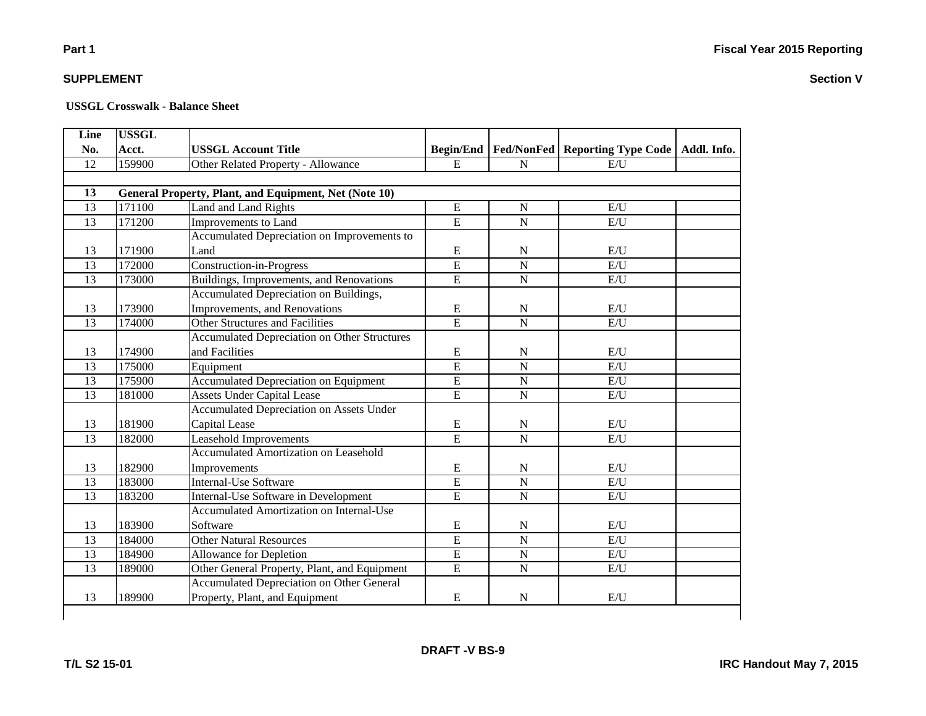| No.<br>12<br>13 | Acct.<br>159900 | <b>USSGL Account Title</b>                            | <b>Begin/End</b> |                |                                  |             |
|-----------------|-----------------|-------------------------------------------------------|------------------|----------------|----------------------------------|-------------|
|                 |                 |                                                       |                  |                | Fed/NonFed   Reporting Type Code | Addl. Info. |
|                 |                 | Other Related Property - Allowance                    | $\mathbf E$      | ${\bf N}$      | E/U                              |             |
|                 |                 |                                                       |                  |                |                                  |             |
|                 |                 | General Property, Plant, and Equipment, Net (Note 10) |                  |                |                                  |             |
| 13              | 171100          | Land and Land Rights                                  | ${\bf E}$        | $\mathbf N$    | E/U                              |             |
| $\overline{13}$ | 171200          | Improvements to Land                                  | $\overline{E}$   | $\overline{N}$ | E/U                              |             |
|                 |                 | Accumulated Depreciation on Improvements to           |                  |                |                                  |             |
| 13              | 171900          | Land                                                  | E                | $\mathbf N$    | E/U                              |             |
| 13              | 172000          | <b>Construction-in-Progress</b>                       | E                | $\overline{N}$ | E/U                              |             |
| 13              | 173000          | Buildings, Improvements, and Renovations              | E                | ${\bf N}$      | E/U                              |             |
|                 |                 | Accumulated Depreciation on Buildings,                |                  |                |                                  |             |
| 13              | 173900          | Improvements, and Renovations                         | ${\bf E}$        | N              | E/U                              |             |
| 13              | 174000          | <b>Other Structures and Facilities</b>                | $\overline{E}$   | $\overline{N}$ | E/U                              |             |
|                 |                 | <b>Accumulated Depreciation on Other Structures</b>   |                  |                |                                  |             |
| 13              | 174900          | and Facilities                                        | E                | N              | E/U                              |             |
| 13              | 175000          | Equipment                                             | $\overline{E}$   | $\overline{N}$ | E/U                              |             |
| 13              | 175900          | <b>Accumulated Depreciation on Equipment</b>          | $\overline{E}$   | $\mathbf N$    | E/U                              |             |
| 13              | 181000          | <b>Assets Under Capital Lease</b>                     | E                | $\mathbf N$    | E/U                              |             |
|                 |                 | <b>Accumulated Depreciation on Assets Under</b>       |                  |                |                                  |             |
| 13              | 181900          | Capital Lease                                         | ${\bf E}$        | N              | E/U                              |             |
| 13              | 182000          | Leasehold Improvements                                | $\overline{E}$   | ${\bf N}$      | E/U                              |             |
|                 |                 | <b>Accumulated Amortization on Leasehold</b>          |                  |                |                                  |             |
| 13              | 182900          | Improvements                                          | ${\bf E}$        | ${\bf N}$      | E/U                              |             |
| 13              | 183000          | <b>Internal-Use Software</b>                          | $\overline{E}$   | $\mathbf N$    | E/U                              |             |
| 13              | 183200          | Internal-Use Software in Development                  | E                | $\mathbf N$    | E/U                              |             |
|                 |                 | <b>Accumulated Amortization on Internal-Use</b>       |                  |                |                                  |             |
| 13              | 183900          | Software                                              | E                | ${\bf N}$      | E/U                              |             |
| 13              | 184000          | <b>Other Natural Resources</b>                        | $\overline{E}$   | $\mathbf N$    | E/U                              |             |
| 13              | 184900          | Allowance for Depletion                               | $\overline{E}$   | $\overline{N}$ | E/U                              |             |
| 13              | 189000          | Other General Property, Plant, and Equipment          | E                | ${\bf N}$      | E/U                              |             |
|                 |                 | <b>Accumulated Depreciation on Other General</b>      |                  |                |                                  |             |
| 13              | 189900          | Property, Plant, and Equipment                        | ${\bf E}$        | $\mathbf N$    | E/U                              |             |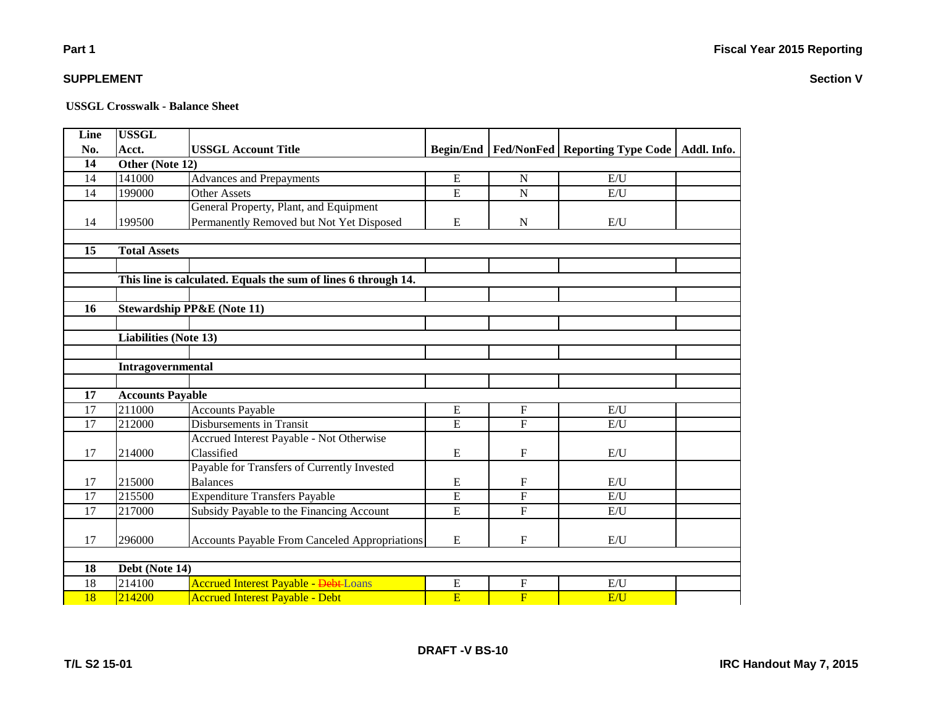**Section V**

# **Part 1**

### **SUPPLEMENT**

#### **USSGL Crosswalk - Balance Sheet**

| Line            | <b>USSGL</b>            |                                                                |                |                |                                                            |  |  |  |
|-----------------|-------------------------|----------------------------------------------------------------|----------------|----------------|------------------------------------------------------------|--|--|--|
| No.             | Acct.                   | <b>USSGL Account Title</b>                                     |                |                | Begin/End   Fed/NonFed   Reporting Type Code   Addl. Info. |  |  |  |
| 14              | Other (Note 12)         |                                                                |                |                |                                                            |  |  |  |
| 14              | 141000                  | <b>Advances and Prepayments</b>                                | ${\bf E}$      | N              | E/U                                                        |  |  |  |
| 14              | 199000                  | <b>Other Assets</b>                                            | $\overline{E}$ | $\overline{N}$ | E/U                                                        |  |  |  |
|                 |                         | General Property, Plant, and Equipment                         |                |                |                                                            |  |  |  |
| 14              | 199500                  | Permanently Removed but Not Yet Disposed                       | ${\bf E}$      | $\mathbf N$    | E/U                                                        |  |  |  |
|                 |                         |                                                                |                |                |                                                            |  |  |  |
| 15              | <b>Total Assets</b>     |                                                                |                |                |                                                            |  |  |  |
|                 |                         |                                                                |                |                |                                                            |  |  |  |
|                 |                         | This line is calculated. Equals the sum of lines 6 through 14. |                |                |                                                            |  |  |  |
|                 |                         |                                                                |                |                |                                                            |  |  |  |
| 16              |                         | <b>Stewardship PP&amp;E (Note 11)</b>                          |                |                |                                                            |  |  |  |
|                 |                         |                                                                |                |                |                                                            |  |  |  |
|                 | Liabilities (Note 13)   |                                                                |                |                |                                                            |  |  |  |
|                 |                         |                                                                |                |                |                                                            |  |  |  |
|                 | Intragovernmental       |                                                                |                |                |                                                            |  |  |  |
|                 |                         |                                                                |                |                |                                                            |  |  |  |
| 17              | <b>Accounts Payable</b> |                                                                |                |                |                                                            |  |  |  |
| 17              | 211000                  | <b>Accounts Payable</b>                                        | E              | $\mathbf{F}$   | E/U                                                        |  |  |  |
| 17              | 212000                  | Disbursements in Transit                                       | E              | $\overline{F}$ | E/U                                                        |  |  |  |
|                 |                         | Accrued Interest Payable - Not Otherwise                       |                |                |                                                            |  |  |  |
| 17              | 214000                  | Classified                                                     | E              | $\mathbf{F}$   | E/U                                                        |  |  |  |
|                 |                         | Payable for Transfers of Currently Invested                    |                |                |                                                            |  |  |  |
| 17              | 215000                  | <b>Balances</b>                                                | E              | F              | E/U                                                        |  |  |  |
| 17              | 215500                  | <b>Expenditure Transfers Payable</b>                           | $\mathbf E$    | $\mathbf F$    | E/U                                                        |  |  |  |
| 17              | 217000                  | Subsidy Payable to the Financing Account                       | $\overline{E}$ | $\mathbf F$    | E/U                                                        |  |  |  |
|                 |                         |                                                                |                |                |                                                            |  |  |  |
| 17              | 296000                  | <b>Accounts Payable From Canceled Appropriations</b>           | ${\bf E}$      | $\mathbf F$    | E/U                                                        |  |  |  |
|                 |                         |                                                                |                |                |                                                            |  |  |  |
| 18              | Debt (Note 14)          |                                                                |                |                |                                                            |  |  |  |
| 18              | 214100                  | <b>Accrued Interest Payable - Debt-Loans</b>                   | ${\bf E}$      | $\overline{F}$ | E/U                                                        |  |  |  |
| $\overline{18}$ | 214200                  | <b>Accrued Interest Payable - Debt</b>                         | E              | $\overline{F}$ | E/U                                                        |  |  |  |

**DRAFT -V BS-10**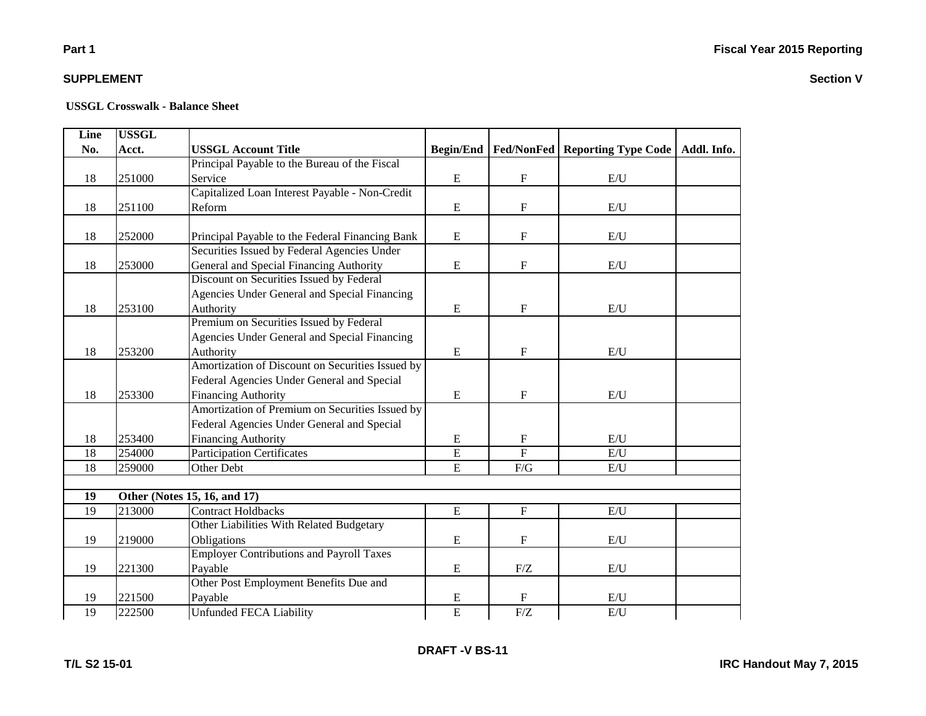# **Part 1**

### **SUPPLEMENT**

| Line            | <b>USSGL</b> |                                                  |                  |                           |                                                |  |
|-----------------|--------------|--------------------------------------------------|------------------|---------------------------|------------------------------------------------|--|
| No.             | Acct.        | <b>USSGL Account Title</b>                       | <b>Begin/End</b> |                           | Fed/NonFed   Reporting Type Code   Addl. Info. |  |
|                 |              | Principal Payable to the Bureau of the Fiscal    |                  |                           |                                                |  |
| 18              | 251000       | Service                                          | E                | $\mathbf F$               | E/U                                            |  |
|                 |              | Capitalized Loan Interest Payable - Non-Credit   |                  |                           |                                                |  |
| 18              | 251100       | Reform                                           | ${\bf E}$        | $\mathbf F$               | E/U                                            |  |
|                 |              |                                                  |                  |                           |                                                |  |
| 18              | 252000       | Principal Payable to the Federal Financing Bank  | ${\bf E}$        | $\boldsymbol{\mathrm{F}}$ | E/U                                            |  |
|                 |              | Securities Issued by Federal Agencies Under      |                  |                           |                                                |  |
| 18              | 253000       | General and Special Financing Authority          | ${\bf E}$        | $\mathbf F$               | E/U                                            |  |
|                 |              | Discount on Securities Issued by Federal         |                  |                           |                                                |  |
|                 |              | Agencies Under General and Special Financing     |                  |                           |                                                |  |
| 18              | 253100       | Authority                                        | E                | $\mathbf{F}$              | E/U                                            |  |
|                 |              | Premium on Securities Issued by Federal          |                  |                           |                                                |  |
|                 |              | Agencies Under General and Special Financing     |                  |                           |                                                |  |
| 18              | 253200       | Authority                                        | ${\bf E}$        | $\mathbf F$               | E/U                                            |  |
|                 |              | Amortization of Discount on Securities Issued by |                  |                           |                                                |  |
|                 |              | Federal Agencies Under General and Special       |                  |                           |                                                |  |
| 18              | 253300       | <b>Financing Authority</b>                       | ${\bf E}$        | $\mathbf F$               | E/U                                            |  |
|                 |              | Amortization of Premium on Securities Issued by  |                  |                           |                                                |  |
|                 |              | Federal Agencies Under General and Special       |                  |                           |                                                |  |
| 18              | 253400       | <b>Financing Authority</b>                       | E                | F                         | E/U                                            |  |
| 18              | 254000       | <b>Participation Certificates</b>                | $\overline{E}$   | $\overline{F}$            | E/U                                            |  |
| 18              | 259000       | Other Debt                                       | ${\bf E}$        | F/G                       | E/U                                            |  |
|                 |              |                                                  |                  |                           |                                                |  |
| 19              |              | Other (Notes 15, 16, and 17)                     |                  |                           |                                                |  |
| 19              | 213000       | <b>Contract Holdbacks</b>                        | ${\bf E}$        | $\mathbf F$               | $\mathrm{E}/\mathrm{U}$                        |  |
|                 |              | Other Liabilities With Related Budgetary         |                  |                           |                                                |  |
| 19              | 219000       | Obligations                                      | ${\bf E}$        | $\mathbf F$               | E/U                                            |  |
|                 |              | <b>Employer Contributions and Payroll Taxes</b>  |                  |                           |                                                |  |
| 19              | 221300       | Payable                                          | ${\bf E}$        | ${\rm F}/{\rm Z}$         | E/U                                            |  |
|                 |              | Other Post Employment Benefits Due and           |                  |                           |                                                |  |
| 19              | 221500       | Payable                                          | E                | F                         | E/U                                            |  |
| $\overline{19}$ | 222500       | <b>Unfunded FECA Liability</b>                   | $\overline{E}$   | F/Z                       | E/U                                            |  |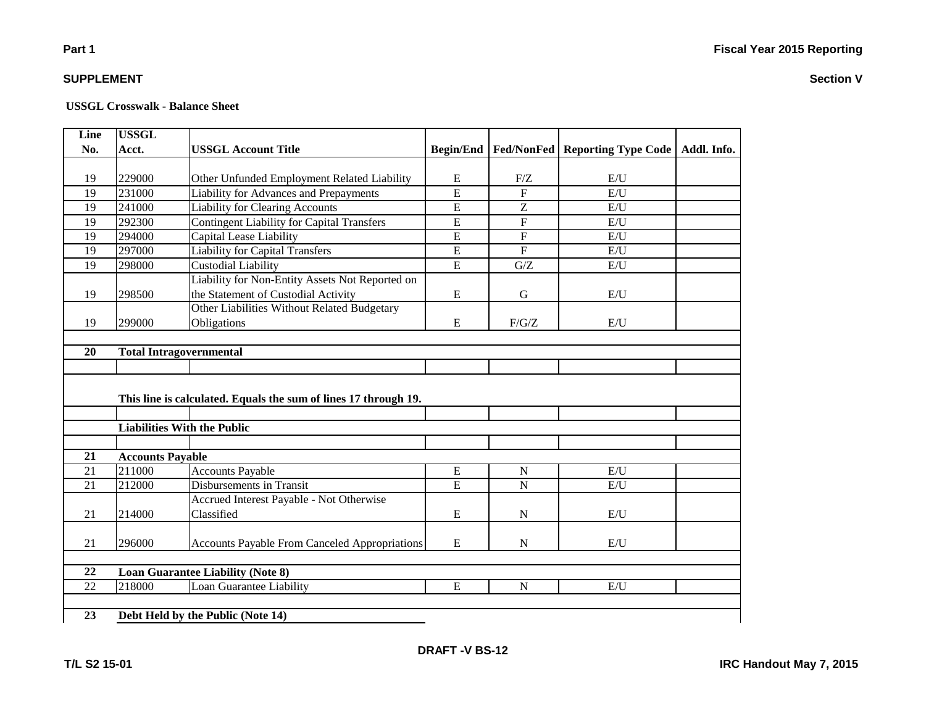#### **USSGL Crosswalk - Balance Sheet**

| Line | <b>USSGL</b>                   |                                                                 |                  |                |                                           |             |  |  |  |
|------|--------------------------------|-----------------------------------------------------------------|------------------|----------------|-------------------------------------------|-------------|--|--|--|
| No.  | Acct.                          | <b>USSGL Account Title</b>                                      | <b>Begin/End</b> |                | <b>Fed/NonFed   Reporting Type Code  </b> | Addl. Info. |  |  |  |
|      |                                |                                                                 |                  |                |                                           |             |  |  |  |
| 19   | 229000                         | Other Unfunded Employment Related Liability                     | ${\bf E}$        | F/Z            | E/U                                       |             |  |  |  |
| 19   | 231000                         | Liability for Advances and Prepayments                          | $\overline{E}$   | $\overline{F}$ | E/U                                       |             |  |  |  |
| 19   | 241000                         | <b>Liability for Clearing Accounts</b>                          | $\overline{E}$   | Z              | E/U                                       |             |  |  |  |
| 19   | 292300                         | <b>Contingent Liability for Capital Transfers</b>               | $\overline{E}$   | $\overline{F}$ | E/U                                       |             |  |  |  |
| 19   | 294000                         | Capital Lease Liability                                         | $\overline{E}$   | $\overline{F}$ | E/U                                       |             |  |  |  |
| 19   | 297000                         | <b>Liability for Capital Transfers</b>                          | $\overline{E}$   | $\overline{F}$ | E/U                                       |             |  |  |  |
| 19   | 298000                         | Custodial Liability                                             | $\overline{E}$   | G/Z            | E/U                                       |             |  |  |  |
|      |                                | Liability for Non-Entity Assets Not Reported on                 |                  |                |                                           |             |  |  |  |
| 19   | 298500                         | the Statement of Custodial Activity                             | ${\bf E}$        | G              | E/U                                       |             |  |  |  |
|      |                                | Other Liabilities Without Related Budgetary                     |                  |                |                                           |             |  |  |  |
| 19   | 299000                         | Obligations                                                     | ${\bf E}$        | F/G/Z          | E/U                                       |             |  |  |  |
|      |                                |                                                                 |                  |                |                                           |             |  |  |  |
| 20   | <b>Total Intragovernmental</b> |                                                                 |                  |                |                                           |             |  |  |  |
|      |                                |                                                                 |                  |                |                                           |             |  |  |  |
|      |                                |                                                                 |                  |                |                                           |             |  |  |  |
|      |                                | This line is calculated. Equals the sum of lines 17 through 19. |                  |                |                                           |             |  |  |  |
|      |                                |                                                                 |                  |                |                                           |             |  |  |  |
|      |                                | <b>Liabilities With the Public</b>                              |                  |                |                                           |             |  |  |  |
|      |                                |                                                                 |                  |                |                                           |             |  |  |  |
| 21   | <b>Accounts Payable</b>        |                                                                 |                  |                |                                           |             |  |  |  |
| 21   | 211000                         | <b>Accounts Payable</b>                                         | E                | $\mathbf N$    | E/U                                       |             |  |  |  |
| 21   | 212000                         | <b>Disbursements in Transit</b>                                 | $\overline{E}$   | $\overline{N}$ | E/U                                       |             |  |  |  |
|      |                                | Accrued Interest Payable - Not Otherwise                        |                  |                |                                           |             |  |  |  |
| 21   | 214000                         | Classified                                                      | ${\bf E}$        | N              | E/U                                       |             |  |  |  |
|      |                                |                                                                 |                  |                |                                           |             |  |  |  |
| 21   | 296000                         | <b>Accounts Payable From Canceled Appropriations</b>            | ${\bf E}$        | N              | E/U                                       |             |  |  |  |
|      |                                |                                                                 |                  |                |                                           |             |  |  |  |
| 22   |                                | <b>Loan Guarantee Liability (Note 8)</b>                        |                  |                |                                           |             |  |  |  |
| 22   | 218000                         | Loan Guarantee Liability                                        | ${\bf E}$        | N              | E/U                                       |             |  |  |  |
|      |                                |                                                                 |                  |                |                                           |             |  |  |  |
| 23   |                                | Debt Held by the Public (Note 14)                               |                  |                |                                           |             |  |  |  |
|      |                                |                                                                 |                  |                |                                           |             |  |  |  |

**DRAFT -V BS-12**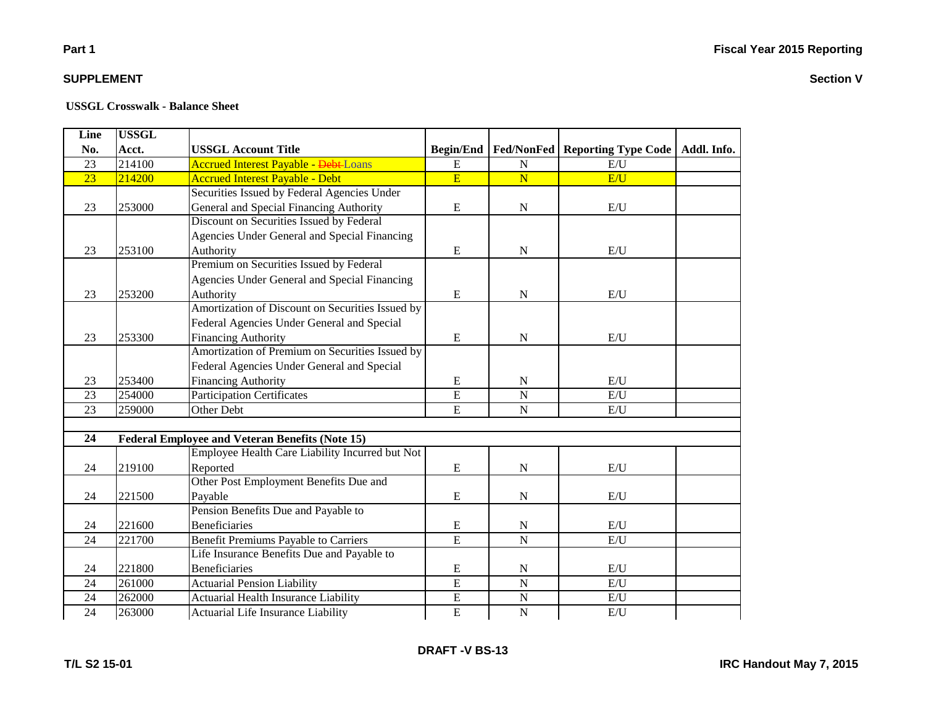# **Part 1**

### **SUPPLEMENT**

| Line | <b>USSGL</b> |                                                         |                  |                         |                                   |  |
|------|--------------|---------------------------------------------------------|------------------|-------------------------|-----------------------------------|--|
| No.  | Acct.        | <b>USSGL Account Title</b>                              | <b>Begin/End</b> | Fed/NonFed              | Reporting Type Code   Addl. Info. |  |
| 23   | 214100       | <b>Accrued Interest Payable - <del>Debt</del>-Loans</b> | E                | $\mathbf N$             | E/U                               |  |
| 23   | 214200       | <b>Accrued Interest Payable - Debt</b>                  | $\overline{E}$   | $\overline{\mathbf{N}}$ | E/U                               |  |
|      |              | Securities Issued by Federal Agencies Under             |                  |                         |                                   |  |
| 23   | 253000       | General and Special Financing Authority                 | ${\bf E}$        | ${\bf N}$               | E/U                               |  |
|      |              | Discount on Securities Issued by Federal                |                  |                         |                                   |  |
|      |              | Agencies Under General and Special Financing            |                  |                         |                                   |  |
| 23   | 253100       | Authority                                               | E                | $\mathbf N$             | E/U                               |  |
|      |              | Premium on Securities Issued by Federal                 |                  |                         |                                   |  |
|      |              | Agencies Under General and Special Financing            |                  |                         |                                   |  |
| 23   | 253200       | Authority                                               | E                | ${\bf N}$               | E/U                               |  |
|      |              | Amortization of Discount on Securities Issued by        |                  |                         |                                   |  |
|      |              | Federal Agencies Under General and Special              |                  |                         |                                   |  |
| 23   | 253300       | <b>Financing Authority</b>                              | E                | $\mathbf N$             | E/U                               |  |
|      |              | Amortization of Premium on Securities Issued by         |                  |                         |                                   |  |
|      |              | Federal Agencies Under General and Special              |                  |                         |                                   |  |
| 23   | 253400       | <b>Financing Authority</b>                              | E                | ${\bf N}$               | E/U                               |  |
| 23   | 254000       | <b>Participation Certificates</b>                       | E                | $\overline{N}$          | E/U                               |  |
| 23   | 259000       | Other Debt                                              | E                | ${\bf N}$               | E/U                               |  |
|      |              |                                                         |                  |                         |                                   |  |
| 24   |              | <b>Federal Employee and Veteran Benefits (Note 15)</b>  |                  |                         |                                   |  |
|      |              | Employee Health Care Liability Incurred but Not         |                  |                         |                                   |  |
| 24   | 219100       | Reported                                                | ${\bf E}$        | ${\bf N}$               | $\mathbf{E}/\mathbf{U}$           |  |
|      |              | Other Post Employment Benefits Due and                  |                  |                         |                                   |  |
| 24   | 221500       | Payable                                                 | E                | $\mathbf N$             | E/U                               |  |
|      |              | Pension Benefits Due and Payable to                     |                  |                         |                                   |  |
| 24   | 221600       | <b>Beneficiaries</b>                                    | ${\bf E}$        | ${\bf N}$               | E/U                               |  |
| 24   | 221700       | <b>Benefit Premiums Payable to Carriers</b>             | E                | $\overline{N}$          | E/U                               |  |
|      |              | Life Insurance Benefits Due and Payable to              |                  |                         |                                   |  |
| 24   | 221800       | <b>Beneficiaries</b>                                    | ${\bf E}$        | N                       | E/U                               |  |
| 24   | 261000       | <b>Actuarial Pension Liability</b>                      | $\overline{E}$   | ${\bf N}$               | E/U                               |  |
| 24   | 262000       | <b>Actuarial Health Insurance Liability</b>             | E                | ${\bf N}$               | E/U                               |  |
| 24   | 263000       | Actuarial Life Insurance Liability                      | E                | ${\bf N}$               | $\mathrm{E}/\mathrm{U}$           |  |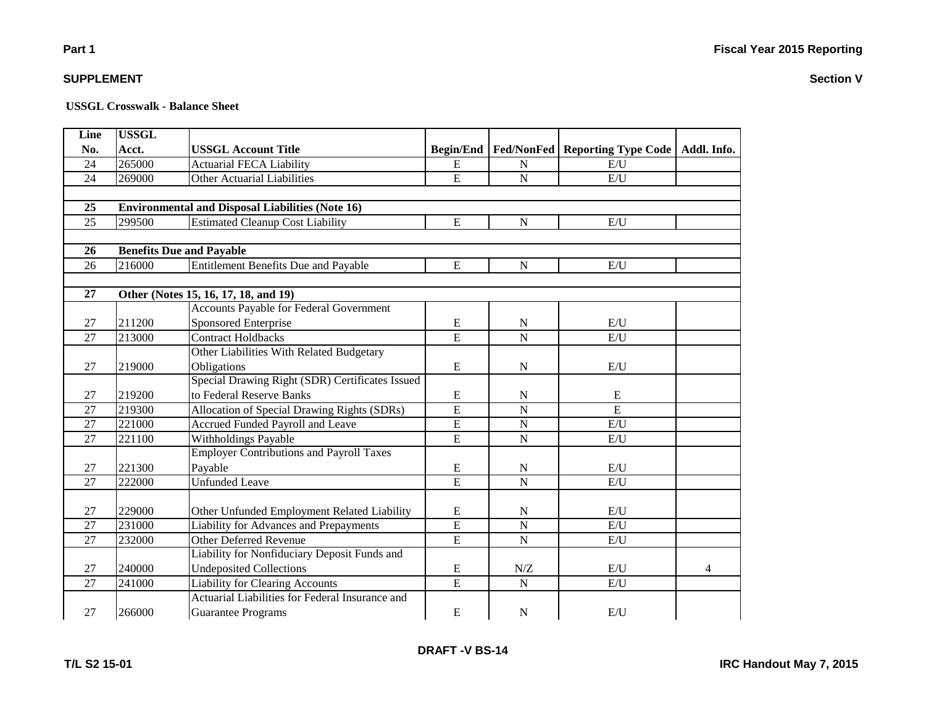**T/L S2 15-01**

#### **USSGL Crosswalk - Balance Sheet**

| Line            | <b>USSGL</b> |                                                         |                  |                |                                         |             |
|-----------------|--------------|---------------------------------------------------------|------------------|----------------|-----------------------------------------|-------------|
| No.             | Acct.        | <b>USSGL Account Title</b>                              | <b>Begin/End</b> |                | <b>Fed/NonFed   Reporting Type Code</b> | Addl. Info. |
| 24              | 265000       | <b>Actuarial FECA Liability</b>                         | ${\bf E}$        | N              | E/U                                     |             |
| 24              | 269000       | <b>Other Actuarial Liabilities</b>                      | $\overline{E}$   | ${\bf N}$      | E/U                                     |             |
|                 |              |                                                         |                  |                |                                         |             |
| 25              |              | <b>Environmental and Disposal Liabilities (Note 16)</b> |                  |                |                                         |             |
| $\overline{25}$ | 299500       | <b>Estimated Cleanup Cost Liability</b>                 | $\overline{E}$   | $\overline{N}$ | E/U                                     |             |
|                 |              |                                                         |                  |                |                                         |             |
| 26              |              | <b>Benefits Due and Payable</b>                         |                  |                |                                         |             |
| 26              | 216000       | <b>Entitlement Benefits Due and Payable</b>             | ${\bf E}$        | $\mathbf N$    | E/U                                     |             |
|                 |              |                                                         |                  |                |                                         |             |
| 27              |              | Other (Notes 15, 16, 17, 18, and 19)                    |                  |                |                                         |             |
|                 |              | Accounts Payable for Federal Government                 |                  |                |                                         |             |
| 27              | 211200       | Sponsored Enterprise                                    | E                | N              | E/U                                     |             |
| 27              | 213000       | <b>Contract Holdbacks</b>                               | $\overline{E}$   | ${\bf N}$      | E/U                                     |             |
|                 |              | Other Liabilities With Related Budgetary                |                  |                |                                         |             |
| 27              | 219000       | Obligations                                             | ${\bf E}$        | ${\bf N}$      | E/U                                     |             |
|                 |              | Special Drawing Right (SDR) Certificates Issued         |                  |                |                                         |             |
| 27              | 219200       | to Federal Reserve Banks                                | ${\bf E}$        | $\mathbf N$    | E                                       |             |
| 27              | 219300       | Allocation of Special Drawing Rights (SDRs)             | $\overline{E}$   | $\overline{N}$ | E                                       |             |
| 27              | 221000       | Accrued Funded Payroll and Leave                        | $\overline{E}$   | $\mathbf N$    | $\mathbf{E}/\mathbf{U}$                 |             |
| 27              | 221100       | Withholdings Payable                                    | $\overline{E}$   | ${\bf N}$      | E/U                                     |             |
|                 |              | <b>Employer Contributions and Payroll Taxes</b>         |                  |                |                                         |             |
| 27              | 221300       | Payable                                                 | ${\bf E}$        | ${\bf N}$      | E/U                                     |             |
| 27              | 222000       | <b>Unfunded Leave</b>                                   | E                | $\overline{N}$ | E/U                                     |             |
|                 |              |                                                         |                  |                |                                         |             |
| 27              | 229000       | Other Unfunded Employment Related Liability             | ${\bf E}$        | ${\bf N}$      | $\mathbf{E}/\mathbf{U}$                 |             |
| 27              | 231000       | Liability for Advances and Prepayments                  | $\overline{E}$   | $\overline{N}$ | E/U                                     |             |
| 27              | 232000       | Other Deferred Revenue                                  | $\overline{E}$   | $\mathbf N$    | E/U                                     |             |
|                 |              | Liability for Nonfiduciary Deposit Funds and            |                  |                |                                         |             |
| 27              | 240000       | <b>Undeposited Collections</b>                          | E                | N/Z            | E/U                                     | 4           |
| 27              | 241000       | <b>Liability for Clearing Accounts</b>                  | $\overline{E}$   | ${\bf N}$      | $\mathbf{E}/\mathbf{U}$                 |             |
|                 |              | Actuarial Liabilities for Federal Insurance and         |                  |                |                                         |             |
| 27              | 266000       | <b>Guarantee Programs</b>                               | ${\bf E}$        | $\mathbf N$    | E/U                                     |             |

**DRAFT -V BS-14**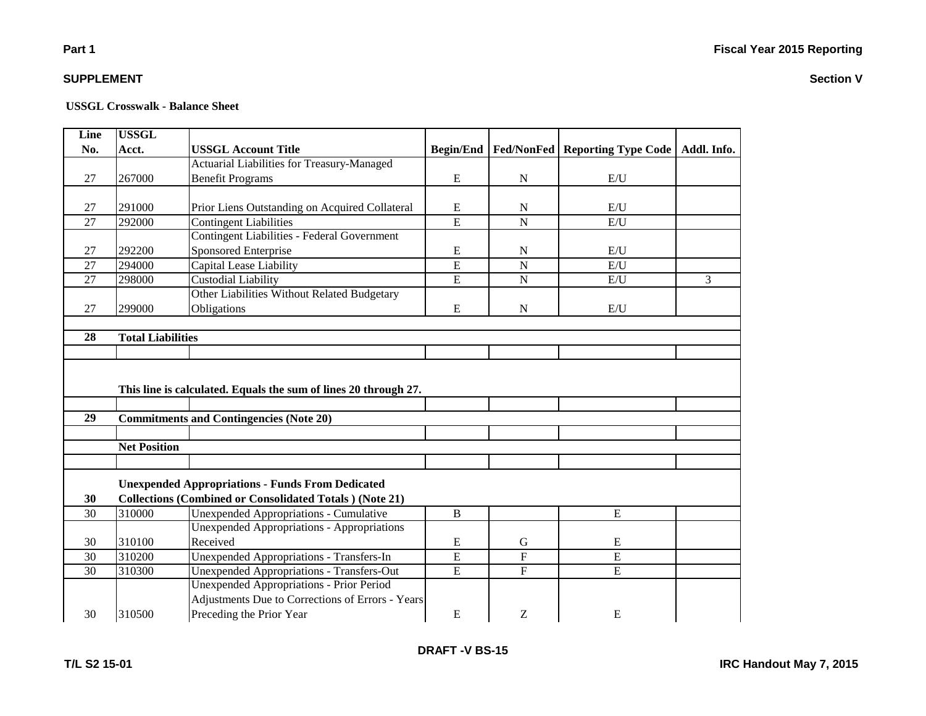**Section V**

#### **SUPPLEMENT**

#### **USSGL Crosswalk - Balance Sheet**

| Line            | <b>USSGL</b>             |                                                                 |                  |                         |                                         |             |  |  |  |
|-----------------|--------------------------|-----------------------------------------------------------------|------------------|-------------------------|-----------------------------------------|-------------|--|--|--|
| No.             | Acct.                    | <b>USSGL Account Title</b>                                      | <b>Begin/End</b> |                         | <b>Fed/NonFed   Reporting Type Code</b> | Addl. Info. |  |  |  |
|                 |                          | Actuarial Liabilities for Treasury-Managed                      |                  |                         |                                         |             |  |  |  |
| 27              | 267000                   | <b>Benefit Programs</b>                                         | E                | ${\bf N}$               | E/U                                     |             |  |  |  |
|                 |                          |                                                                 |                  |                         |                                         |             |  |  |  |
| 27              | 291000                   | Prior Liens Outstanding on Acquired Collateral                  | E                | N                       | E/U                                     |             |  |  |  |
| 27              | 292000                   | <b>Contingent Liabilities</b>                                   | $\overline{E}$   | $\overline{N}$          | E/U                                     |             |  |  |  |
|                 |                          | <b>Contingent Liabilities - Federal Government</b>              |                  |                         |                                         |             |  |  |  |
| 27              | 292200                   | Sponsored Enterprise                                            | E                | ${\bf N}$               | E/U                                     |             |  |  |  |
| 27              | 294000                   | Capital Lease Liability                                         | E                | $\overline{\mathbf{N}}$ | E/U                                     |             |  |  |  |
| 27              | 298000                   | Custodial Liability                                             | E                | ${\bf N}$               | E/U                                     | 3           |  |  |  |
|                 |                          | Other Liabilities Without Related Budgetary                     |                  |                         |                                         |             |  |  |  |
| 27              | 299000                   | Obligations                                                     | E                | $\mathbf N$             | E/U                                     |             |  |  |  |
|                 |                          |                                                                 |                  |                         |                                         |             |  |  |  |
| 28              | <b>Total Liabilities</b> |                                                                 |                  |                         |                                         |             |  |  |  |
|                 |                          |                                                                 |                  |                         |                                         |             |  |  |  |
|                 |                          | This line is calculated. Equals the sum of lines 20 through 27. |                  |                         |                                         |             |  |  |  |
| $\overline{29}$ |                          |                                                                 |                  |                         |                                         |             |  |  |  |
|                 |                          | <b>Commitments and Contingencies (Note 20)</b>                  |                  |                         |                                         |             |  |  |  |
|                 | <b>Net Position</b>      |                                                                 |                  |                         |                                         |             |  |  |  |
|                 |                          |                                                                 |                  |                         |                                         |             |  |  |  |
|                 |                          |                                                                 |                  |                         |                                         |             |  |  |  |
|                 |                          | <b>Unexpended Appropriations - Funds From Dedicated</b>         |                  |                         |                                         |             |  |  |  |
| 30              |                          | <b>Collections (Combined or Consolidated Totals) (Note 21)</b>  |                  |                         |                                         |             |  |  |  |
| 30              | 310000                   | <b>Unexpended Appropriations - Cumulative</b>                   | B                |                         | E                                       |             |  |  |  |
|                 |                          | <b>Unexpended Appropriations - Appropriations</b>               |                  |                         |                                         |             |  |  |  |
| 30              | 310100                   | Received                                                        | E                | G                       | E                                       |             |  |  |  |
| 30              | 310200                   | Unexpended Appropriations - Transfers-In                        | E                | $\overline{F}$          | E                                       |             |  |  |  |
| $\overline{30}$ | 310300                   | <b>Unexpended Appropriations - Transfers-Out</b>                | E                | $\overline{F}$          | E                                       |             |  |  |  |
|                 |                          | <b>Unexpended Appropriations - Prior Period</b>                 |                  |                         |                                         |             |  |  |  |
|                 |                          | Adjustments Due to Corrections of Errors - Years                |                  |                         |                                         |             |  |  |  |
| 30              | 310500                   | Preceding the Prior Year                                        | E                | Z                       | E                                       |             |  |  |  |

**Part 1**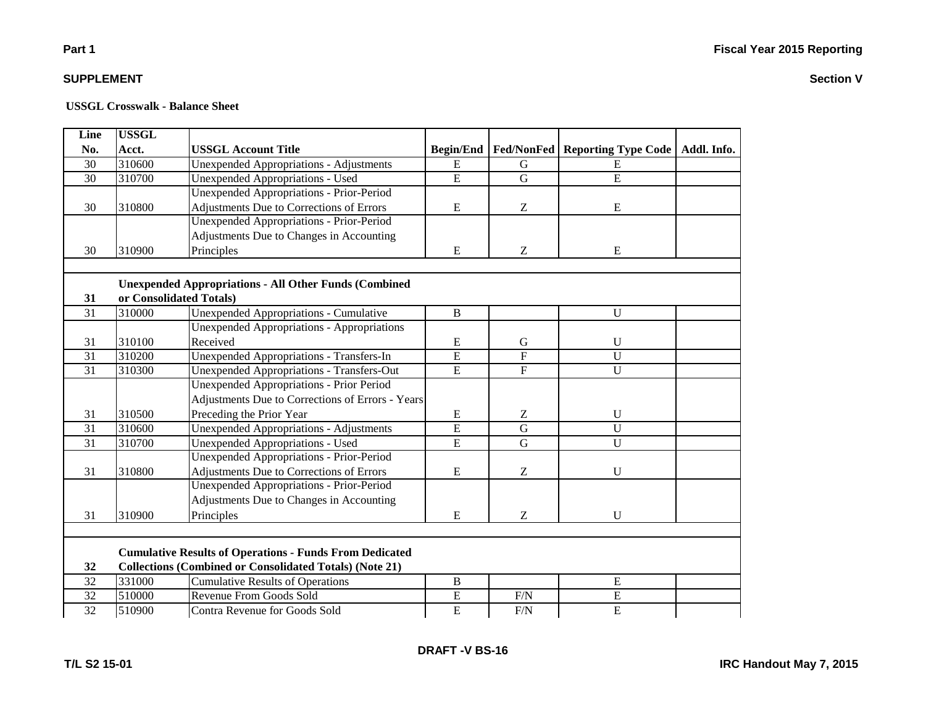**Section V**

# **Part 1**

### **SUPPLEMENT**

| Line            | <b>USSGL</b> |                                                                |                  |                   |                            |             |
|-----------------|--------------|----------------------------------------------------------------|------------------|-------------------|----------------------------|-------------|
| No.             | Acct.        | <b>USSGL Account Title</b>                                     | <b>Begin/End</b> | <b>Fed/NonFed</b> | <b>Reporting Type Code</b> | Addl. Info. |
| 30              | 310600       | <b>Unexpended Appropriations - Adjustments</b>                 | ${\bf E}$        | $\mathbf G$       | E                          |             |
| 30              | 310700       | <b>Unexpended Appropriations - Used</b>                        | $\overline{E}$   | ${\bf G}$         | $\overline{E}$             |             |
|                 |              | Unexpended Appropriations - Prior-Period                       |                  |                   |                            |             |
| 30              | 310800       | Adjustments Due to Corrections of Errors                       | ${\bf E}$        | Z                 | ${\bf E}$                  |             |
|                 |              | <b>Unexpended Appropriations - Prior-Period</b>                |                  |                   |                            |             |
|                 |              | Adjustments Due to Changes in Accounting                       |                  |                   |                            |             |
| 30              | 310900       | Principles                                                     | E                | Z                 | ${\bf E}$                  |             |
|                 |              |                                                                |                  |                   |                            |             |
|                 |              | <b>Unexpended Appropriations - All Other Funds (Combined</b>   |                  |                   |                            |             |
| 31              |              | or Consolidated Totals)                                        |                  |                   |                            |             |
| 31              | 310000       | <b>Unexpended Appropriations - Cumulative</b>                  | $\, {\bf B}$     |                   | U                          |             |
|                 |              | <b>Unexpended Appropriations - Appropriations</b>              |                  |                   |                            |             |
| 31              | 310100       | Received                                                       | ${\bf E}$        | ${\bf G}$         | $\mathbf U$                |             |
| 31              | 310200       | <b>Unexpended Appropriations - Transfers-In</b>                | $\overline{E}$   | $\overline{F}$    | $\overline{U}$             |             |
| 31              | 310300       | Unexpended Appropriations - Transfers-Out                      | $\overline{E}$   | $\mathbf F$       | $\mathbf{U}$               |             |
|                 |              | Unexpended Appropriations - Prior Period                       |                  |                   |                            |             |
|                 |              | Adjustments Due to Corrections of Errors - Years               |                  |                   |                            |             |
| 31              | 310500       | Preceding the Prior Year                                       | E                | Z                 | U                          |             |
| $\overline{31}$ | 310600       | <b>Unexpended Appropriations - Adjustments</b>                 | $\overline{E}$   | $\overline{G}$    | $\overline{U}$             |             |
| 31              | 310700       | Unexpended Appropriations - Used                               | $\overline{E}$   | $\overline{G}$    | $\overline{U}$             |             |
|                 |              | <b>Unexpended Appropriations - Prior-Period</b>                |                  |                   |                            |             |
| 31              | 310800       | Adjustments Due to Corrections of Errors                       | ${\bf E}$        | Z                 | $\mathbf U$                |             |
|                 |              | <b>Unexpended Appropriations - Prior-Period</b>                |                  |                   |                            |             |
|                 |              | Adjustments Due to Changes in Accounting                       |                  |                   |                            |             |
| 31              | 310900       | Principles                                                     | E                | Z                 | $\mathbf{U}$               |             |
|                 |              |                                                                |                  |                   |                            |             |
|                 |              | <b>Cumulative Results of Operations - Funds From Dedicated</b> |                  |                   |                            |             |
| 32              |              | <b>Collections (Combined or Consolidated Totals) (Note 21)</b> |                  |                   |                            |             |
| 32              | 331000       | <b>Cumulative Results of Operations</b>                        | $\, {\bf B}$     |                   | $\overline{E}$             |             |
| 32              | 510000       | Revenue From Goods Sold                                        | ${\bf E}$        | F/N               | ${\bf E}$                  |             |
| 32              | 510900       | Contra Revenue for Goods Sold                                  | $\overline{E}$   | F/N               | $\mathbf E$                |             |
|                 |              |                                                                |                  |                   |                            |             |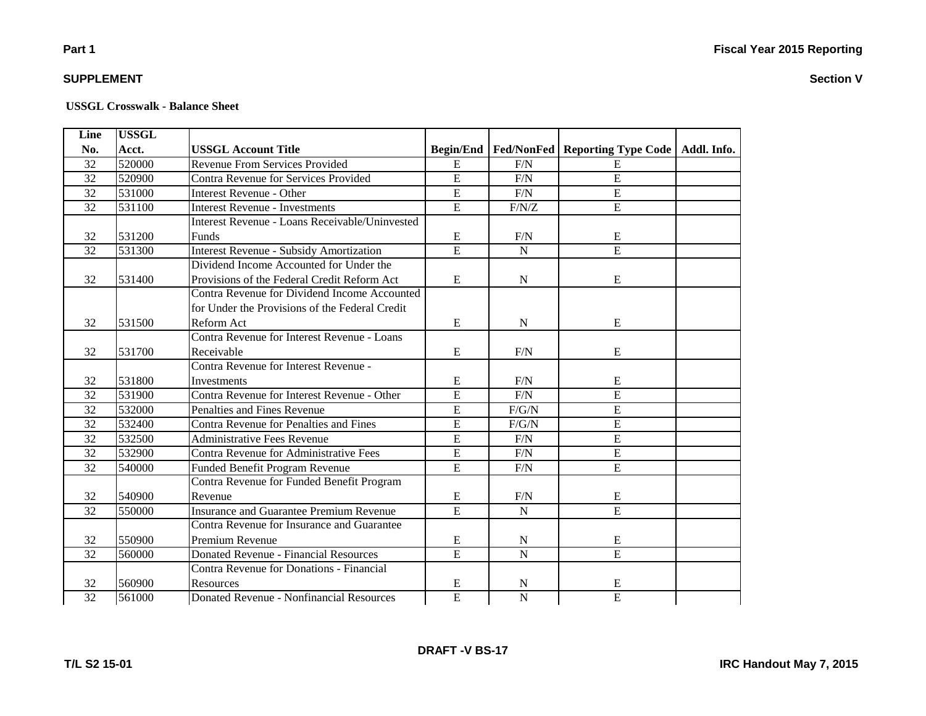# **Part 1**

### **SUPPLEMENT**

#### **USSGL Crosswalk - Balance Sheet**

| Line            | <b>USSGL</b> |                                                 |                  |                   |                                   |  |
|-----------------|--------------|-------------------------------------------------|------------------|-------------------|-----------------------------------|--|
| No.             | Acct.        | <b>USSGL Account Title</b>                      | <b>Begin/End</b> | <b>Fed/NonFed</b> | Reporting Type Code   Addl. Info. |  |
| 32              | 520000       | <b>Revenue From Services Provided</b>           | ${\bf E}$        | F/N               | E                                 |  |
| 32              | 520900       | Contra Revenue for Services Provided            | $\overline{E}$   | F/N               | $\overline{E}$                    |  |
| $\overline{32}$ | 531000       | <b>Interest Revenue - Other</b>                 | $\overline{E}$   | F/N               | $\overline{E}$                    |  |
| 32              | 531100       | <b>Interest Revenue - Investments</b>           | $\overline{E}$   | F/N/Z             | $\overline{E}$                    |  |
|                 |              | Interest Revenue - Loans Receivable/Uninvested  |                  |                   |                                   |  |
| 32              | 531200       | Funds                                           | E                | F/N               | E                                 |  |
| 32              | 531300       | <b>Interest Revenue - Subsidy Amortization</b>  | $\overline{E}$   | ${\bf N}$         | $\overline{E}$                    |  |
|                 |              | Dividend Income Accounted for Under the         |                  |                   |                                   |  |
| 32              | 531400       | Provisions of the Federal Credit Reform Act     | E                | ${\bf N}$         | ${\bf E}$                         |  |
|                 |              | Contra Revenue for Dividend Income Accounted    |                  |                   |                                   |  |
|                 |              | for Under the Provisions of the Federal Credit  |                  |                   |                                   |  |
| 32              | 531500       | Reform Act                                      | E                | ${\bf N}$         | ${\bf E}$                         |  |
|                 |              | Contra Revenue for Interest Revenue - Loans     |                  |                   |                                   |  |
| 32              | 531700       | Receivable                                      | ${\bf E}$        | F/N               | E                                 |  |
|                 |              | Contra Revenue for Interest Revenue -           |                  |                   |                                   |  |
| 32              | 531800       | Investments                                     | ${\bf E}$        | F/N               | E                                 |  |
| 32              | 531900       | Contra Revenue for Interest Revenue - Other     | $\overline{E}$   | F/N               | $\overline{E}$                    |  |
| 32              | 532000       | Penalties and Fines Revenue                     | $\overline{E}$   | F/G/N             | $\overline{E}$                    |  |
| 32              | 532400       | Contra Revenue for Penalties and Fines          | $\overline{E}$   | $F/G/N$           | $\overline{E}$                    |  |
| 32              | 532500       | <b>Administrative Fees Revenue</b>              | $\overline{E}$   | $F/N$             | E                                 |  |
| 32              | 532900       | <b>Contra Revenue for Administrative Fees</b>   | $\overline{E}$   | $F/N$             | $\overline{E}$                    |  |
| 32              | 540000       | Funded Benefit Program Revenue                  | $\overline{E}$   | F/N               | $\overline{E}$                    |  |
|                 |              | Contra Revenue for Funded Benefit Program       |                  |                   |                                   |  |
| 32              | 540900       | Revenue                                         | ${\bf E}$        | $\rm F/N$         | ${\bf E}$                         |  |
| 32              | 550000       | <b>Insurance and Guarantee Premium Revenue</b>  | $\overline{E}$   | ${\bf N}$         | $\overline{E}$                    |  |
|                 |              | Contra Revenue for Insurance and Guarantee      |                  |                   |                                   |  |
| 32              | 550900       | Premium Revenue                                 | ${\bf E}$        | ${\bf N}$         | E                                 |  |
| $\overline{32}$ | 560000       | <b>Donated Revenue - Financial Resources</b>    | E                | $\overline{N}$    | $\overline{E}$                    |  |
|                 |              | Contra Revenue for Donations - Financial        |                  |                   |                                   |  |
| 32              | 560900       | Resources                                       | ${\bf E}$        | $\mathbf N$       | E                                 |  |
| 32              | 561000       | <b>Donated Revenue - Nonfinancial Resources</b> | $\overline{E}$   | $\overline{N}$    | $\overline{E}$                    |  |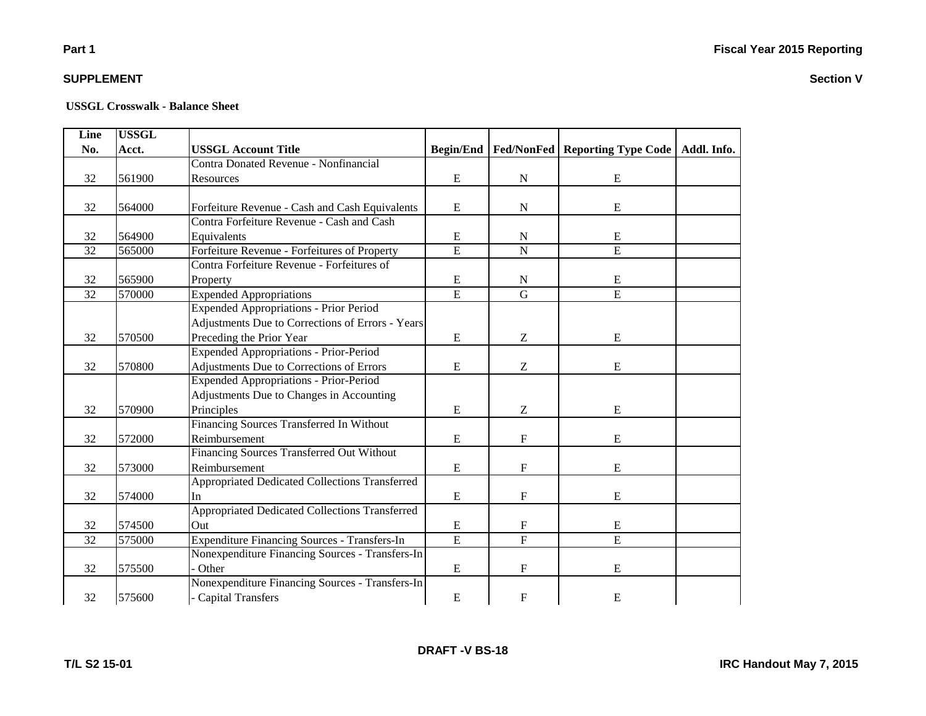# **Part 1**

### **SUPPLEMENT**

| Line            | <b>USSGL</b> |                                                  |                  |                           |                                   |  |
|-----------------|--------------|--------------------------------------------------|------------------|---------------------------|-----------------------------------|--|
| No.             | Acct.        | <b>USSGL Account Title</b>                       | <b>Begin/End</b> | <b>Fed/NonFed</b>         | Reporting Type Code   Addl. Info. |  |
|                 |              | <b>Contra Donated Revenue - Nonfinancial</b>     |                  |                           |                                   |  |
| 32              | 561900       | Resources                                        | E                | ${\bf N}$                 | E                                 |  |
|                 |              |                                                  |                  |                           |                                   |  |
| 32              | 564000       | Forfeiture Revenue - Cash and Cash Equivalents   | E                | ${\bf N}$                 | ${\bf E}$                         |  |
|                 |              | Contra Forfeiture Revenue - Cash and Cash        |                  |                           |                                   |  |
| 32              | 564900       | Equivalents                                      | ${\bf E}$        | $\mathbf N$               | E                                 |  |
| 32              | 565000       | Forfeiture Revenue - Forfeitures of Property     | $\overline{E}$   | ${\bf N}$                 | $\overline{E}$                    |  |
|                 |              | Contra Forfeiture Revenue - Forfeitures of       |                  |                           |                                   |  |
| 32              | 565900       | Property                                         | ${\bf E}$        | $\mathbf N$               | E                                 |  |
| $\overline{32}$ | 570000       | <b>Expended Appropriations</b>                   | $\overline{E}$   | $\mathbf G$               | E                                 |  |
|                 |              | <b>Expended Appropriations - Prior Period</b>    |                  |                           |                                   |  |
|                 |              | Adjustments Due to Corrections of Errors - Years |                  |                           |                                   |  |
| 32              | 570500       | Preceding the Prior Year                         | E                | Z                         | E                                 |  |
|                 |              | Expended Appropriations - Prior-Period           |                  |                           |                                   |  |
| 32              | 570800       | Adjustments Due to Corrections of Errors         | E                | Z                         | E                                 |  |
|                 |              | <b>Expended Appropriations - Prior-Period</b>    |                  |                           |                                   |  |
|                 |              | Adjustments Due to Changes in Accounting         |                  |                           |                                   |  |
| 32              | 570900       | Principles                                       | ${\bf E}$        | Z                         | E                                 |  |
|                 |              | Financing Sources Transferred In Without         |                  |                           |                                   |  |
| 32              | 572000       | Reimbursement                                    | ${\bf E}$        | ${\bf F}$                 | ${\bf E}$                         |  |
|                 |              | Financing Sources Transferred Out Without        |                  |                           |                                   |  |
| 32              | 573000       | Reimbursement                                    | ${\bf E}$        | $\mathbf F$               | E                                 |  |
|                 |              | Appropriated Dedicated Collections Transferred   |                  |                           |                                   |  |
| 32              | 574000       | <b>In</b>                                        | ${\bf E}$        | $\mathbf F$               | E                                 |  |
|                 |              | Appropriated Dedicated Collections Transferred   |                  |                           |                                   |  |
| 32              | 574500       | Out                                              | ${\bf E}$        | $\boldsymbol{\mathrm{F}}$ | E                                 |  |
| 32              | 575000       | Expenditure Financing Sources - Transfers-In     | $\overline{E}$   | $\overline{F}$            | E                                 |  |
|                 |              | Nonexpenditure Financing Sources - Transfers-In  |                  |                           |                                   |  |
| 32              | 575500       | Other                                            | ${\bf E}$        | F                         | E                                 |  |
|                 |              | Nonexpenditure Financing Sources - Transfers-In  |                  |                           |                                   |  |
| 32              | 575600       | - Capital Transfers                              | ${\bf E}$        | $\boldsymbol{F}$          | E                                 |  |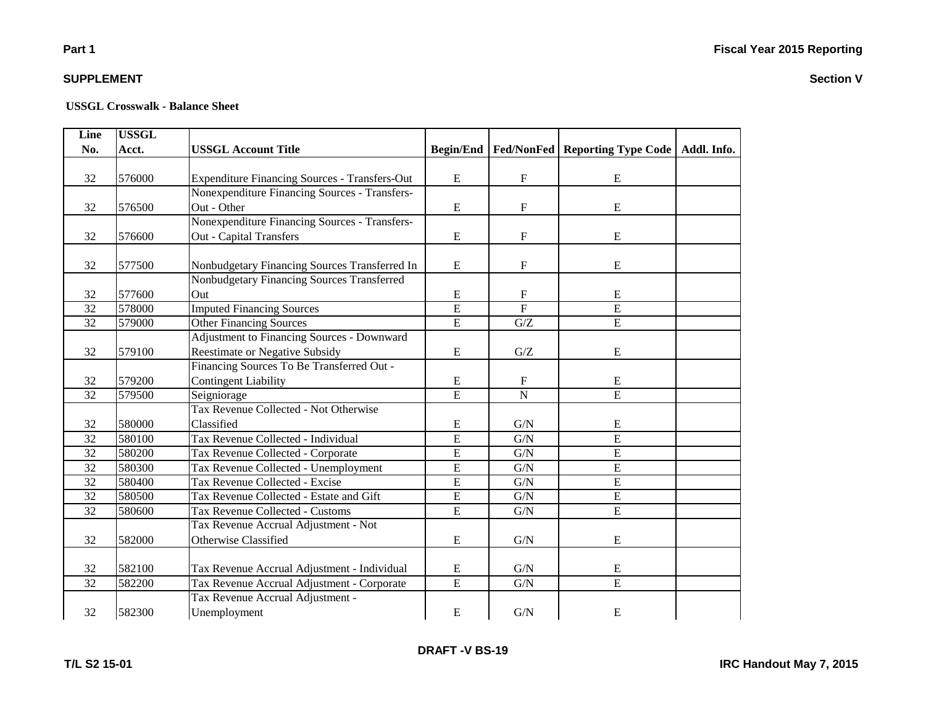# **Part 1**

### **SUPPLEMENT**

#### **USSGL Crosswalk - Balance Sheet**

| Line            | <b>USSGL</b> |                                                      |                  |                           |                                                |  |
|-----------------|--------------|------------------------------------------------------|------------------|---------------------------|------------------------------------------------|--|
| No.             | Acct.        | <b>USSGL Account Title</b>                           | <b>Begin/End</b> |                           | Fed/NonFed   Reporting Type Code   Addl. Info. |  |
|                 |              |                                                      |                  |                           |                                                |  |
| 32              | 576000       | <b>Expenditure Financing Sources - Transfers-Out</b> | E                | $\mathbf F$               | E                                              |  |
|                 |              | Nonexpenditure Financing Sources - Transfers-        |                  |                           |                                                |  |
| 32              | 576500       | Out - Other                                          | ${\bf E}$        | F                         | ${\bf E}$                                      |  |
|                 |              | Nonexpenditure Financing Sources - Transfers-        |                  |                           |                                                |  |
| 32              | 576600       | <b>Out - Capital Transfers</b>                       | ${\bf E}$        | $\mathbf F$               | ${\bf E}$                                      |  |
|                 |              |                                                      |                  |                           |                                                |  |
| 32              | 577500       | Nonbudgetary Financing Sources Transferred In        | E                | $\mathbf F$               | E                                              |  |
|                 |              | Nonbudgetary Financing Sources Transferred           |                  |                           |                                                |  |
| 32              | 577600       | Out                                                  | E                | $\mathbf F$               | E                                              |  |
| 32              | 578000       | <b>Imputed Financing Sources</b>                     | $\overline{E}$   | $\overline{F}$            | $\overline{E}$                                 |  |
| 32              | 579000       | <b>Other Financing Sources</b>                       | $\overline{E}$   | G/Z                       | $\overline{E}$                                 |  |
|                 |              | Adjustment to Financing Sources - Downward           |                  |                           |                                                |  |
| 32              | 579100       | Reestimate or Negative Subsidy                       | ${\bf E}$        | ${\mathbf G}/{\mathbf Z}$ | E                                              |  |
|                 |              | Financing Sources To Be Transferred Out -            |                  |                           |                                                |  |
| 32              | 579200       | <b>Contingent Liability</b>                          | ${\bf E}$        | $\mathbf{F}$              | E                                              |  |
| 32              | 579500       | Seigniorage                                          | $\overline{E}$   | $\overline{N}$            | $\overline{E}$                                 |  |
|                 |              | Tax Revenue Collected - Not Otherwise                |                  |                           |                                                |  |
| 32              | 580000       | Classified                                           | ${\bf E}$        | G/N                       | E                                              |  |
| 32              | 580100       | Tax Revenue Collected - Individual                   | $\overline{E}$   | G/N                       | E                                              |  |
| 32              | 580200       | Tax Revenue Collected - Corporate                    | E                | G/N                       | E                                              |  |
| 32              | 580300       | Tax Revenue Collected - Unemployment                 | E                | G/N                       | $\mathbf E$                                    |  |
| 32              | 580400       | Tax Revenue Collected - Excise                       | $\overline{E}$   | G/N                       | $\overline{E}$                                 |  |
| 32              | 580500       | Tax Revenue Collected - Estate and Gift              | ${\bf E}$        | ${\rm G/N}$               | $\overline{E}$                                 |  |
| 32              | 580600       | Tax Revenue Collected - Customs                      | $\overline{E}$   | ${\rm G/N}$               | $\overline{E}$                                 |  |
|                 |              | Tax Revenue Accrual Adjustment - Not                 |                  |                           |                                                |  |
| 32              | 582000       | Otherwise Classified                                 | E                | ${\rm G/N}$               | E                                              |  |
|                 |              |                                                      |                  |                           |                                                |  |
| 32              | 582100       | Tax Revenue Accrual Adjustment - Individual          | E                | G/N                       | E                                              |  |
| $\overline{32}$ | 582200       | Tax Revenue Accrual Adjustment - Corporate           | $\overline{E}$   | G/N                       | $\overline{E}$                                 |  |
|                 |              | Tax Revenue Accrual Adjustment -                     |                  |                           |                                                |  |
| 32              | 582300       | Unemployment                                         | ${\bf E}$        | G/N                       | E                                              |  |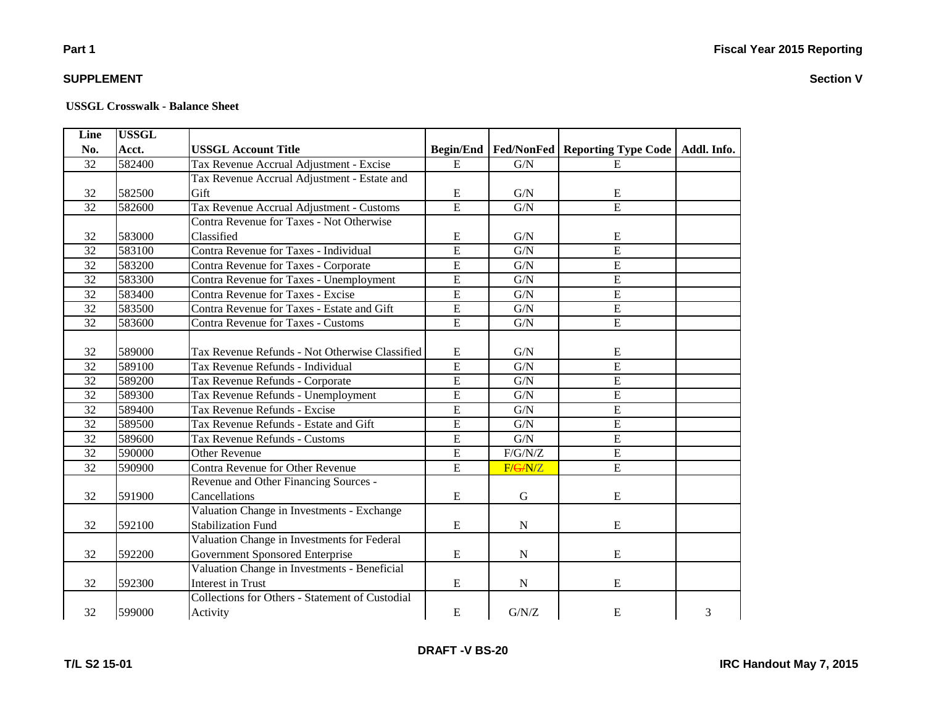# **Part 1**

### **SUPPLEMENT**

**T/L S2 15-01**

#### **USSGL Crosswalk - Balance Sheet**

| Line            | <b>USSGL</b> |                                                 |                |                               |                                   |   |
|-----------------|--------------|-------------------------------------------------|----------------|-------------------------------|-----------------------------------|---|
| No.             | Acct.        | <b>USSGL Account Title</b>                      |                | <b>Begin/End   Fed/NonFed</b> | Reporting Type Code   Addl. Info. |   |
| 32              | 582400       | Tax Revenue Accrual Adjustment - Excise         | $\mathbf E$    | G/N                           | E                                 |   |
|                 |              | Tax Revenue Accrual Adjustment - Estate and     |                |                               |                                   |   |
| 32              | 582500       | Gift                                            | E              | G/N                           | E                                 |   |
| $\overline{32}$ | 582600       | Tax Revenue Accrual Adjustment - Customs        | $\overline{E}$ | G/N                           | $\overline{E}$                    |   |
|                 |              | Contra Revenue for Taxes - Not Otherwise        |                |                               |                                   |   |
| 32              | 583000       | Classified                                      | E              | G/N                           | ${\bf E}$                         |   |
| 32              | 583100       | Contra Revenue for Taxes - Individual           | $\overline{E}$ | G/N                           | $\overline{E}$                    |   |
| $\overline{32}$ | 583200       | Contra Revenue for Taxes - Corporate            | $\overline{E}$ | G/N                           | $\overline{E}$                    |   |
| 32              | 583300       | Contra Revenue for Taxes - Unemployment         | $\overline{E}$ | G/N                           | E                                 |   |
| 32              | 583400       | Contra Revenue for Taxes - Excise               | $\overline{E}$ | G/N                           | $\overline{E}$                    |   |
| 32              | 583500       | Contra Revenue for Taxes - Estate and Gift      | $\mathbf E$    | G/N                           | $\overline{E}$                    |   |
| $\overline{32}$ | 583600       | Contra Revenue for Taxes - Customs              | $\overline{E}$ | G/N                           | $\overline{E}$                    |   |
|                 |              |                                                 |                |                               |                                   |   |
| 32              | 589000       | Tax Revenue Refunds - Not Otherwise Classified  | E              | G/N                           | E                                 |   |
| 32              | 589100       | Tax Revenue Refunds - Individual                | $\overline{E}$ | G/N                           | $\overline{E}$                    |   |
| 32              | 589200       | Tax Revenue Refunds - Corporate                 | $\overline{E}$ | G/N                           | $\overline{E}$                    |   |
| 32              | 589300       | Tax Revenue Refunds - Unemployment              | $\mathbf E$    | G/N                           | $\overline{E}$                    |   |
| 32              | 589400       | Tax Revenue Refunds - Excise                    | E              | G/N                           | E                                 |   |
| 32              | 589500       | Tax Revenue Refunds - Estate and Gift           | $\mathbf E$    | G/N                           | ${\bf E}$                         |   |
| 32              | 589600       | Tax Revenue Refunds - Customs                   | $\overline{E}$ | G/N                           | $\overline{E}$                    |   |
| 32              | 590000       | <b>Other Revenue</b>                            | $\mathbf E$    | F/G/N/Z                       | $\overline{E}$                    |   |
| 32              | 590900       | Contra Revenue for Other Revenue                | E              | F/G/N/Z                       | $\overline{E}$                    |   |
|                 |              | Revenue and Other Financing Sources -           |                |                               |                                   |   |
| 32              | 591900       | Cancellations                                   | $\mathbf E$    | $\mathbf G$                   | E                                 |   |
|                 |              | Valuation Change in Investments - Exchange      |                |                               |                                   |   |
| 32              | 592100       | <b>Stabilization Fund</b>                       | $\mathbf E$    | $\mathbf N$                   | ${\bf E}$                         |   |
|                 |              | Valuation Change in Investments for Federal     |                |                               |                                   |   |
| 32              | 592200       | Government Sponsored Enterprise                 | E              | N                             | E                                 |   |
|                 |              | Valuation Change in Investments - Beneficial    |                |                               |                                   |   |
| 32              | 592300       | <b>Interest in Trust</b>                        | ${\bf E}$      | ${\bf N}$                     | E                                 |   |
|                 |              | Collections for Others - Statement of Custodial |                |                               |                                   |   |
| 32              | 599000       | Activity                                        | ${\bf E}$      | G/N/Z                         | E                                 | 3 |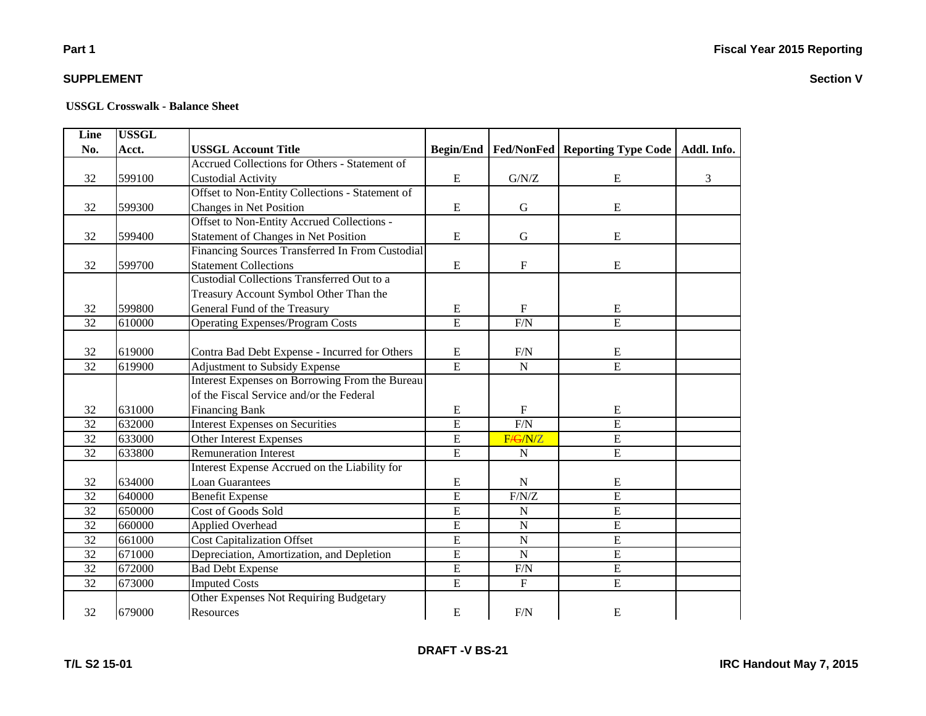#### **USSGL Crosswalk - Balance Sheet**

| Line            | <b>USSGL</b> |                                                 |                  |                           |                                   |   |
|-----------------|--------------|-------------------------------------------------|------------------|---------------------------|-----------------------------------|---|
| No.             | Acct.        | <b>USSGL Account Title</b>                      | <b>Begin/End</b> | <b>Fed/NonFed</b>         | Reporting Type Code   Addl. Info. |   |
|                 |              | Accrued Collections for Others - Statement of   |                  |                           |                                   |   |
| 32              | 599100       | <b>Custodial Activity</b>                       | E                | G/N/Z                     | E                                 | 3 |
|                 |              | Offset to Non-Entity Collections - Statement of |                  |                           |                                   |   |
| 32              | 599300       | Changes in Net Position                         | ${\bf E}$        | $\mathbf G$               | E                                 |   |
|                 |              | Offset to Non-Entity Accrued Collections -      |                  |                           |                                   |   |
| 32              | 599400       | <b>Statement of Changes in Net Position</b>     | ${\bf E}$        | ${\bf G}$                 | E                                 |   |
|                 |              | Financing Sources Transferred In From Custodial |                  |                           |                                   |   |
| 32              | 599700       | <b>Statement Collections</b>                    | ${\bf E}$        | $\mathbf F$               | E                                 |   |
|                 |              | Custodial Collections Transferred Out to a      |                  |                           |                                   |   |
|                 |              | Treasury Account Symbol Other Than the          |                  |                           |                                   |   |
| 32              | 599800       | General Fund of the Treasury                    | ${\bf E}$        | $\boldsymbol{\mathrm{F}}$ | E                                 |   |
| 32              | 610000       | <b>Operating Expenses/Program Costs</b>         | $\overline{E}$   | F/N                       | $\overline{E}$                    |   |
|                 |              |                                                 |                  |                           |                                   |   |
| 32              | 619000       | Contra Bad Debt Expense - Incurred for Others   | ${\bf E}$        | F/N                       | E                                 |   |
| 32              | 619900       | Adjustment to Subsidy Expense                   | $\overline{E}$   | ${\bf N}$                 | $\overline{E}$                    |   |
|                 |              | Interest Expenses on Borrowing From the Bureau  |                  |                           |                                   |   |
|                 |              | of the Fiscal Service and/or the Federal        |                  |                           |                                   |   |
| 32              | 631000       | <b>Financing Bank</b>                           | ${\bf E}$        | ${\bf F}$                 | ${\bf E}$                         |   |
| 32              | 632000       | <b>Interest Expenses on Securities</b>          | $\overline{E}$   | F/N                       | E                                 |   |
| 32              | 633000       | Other Interest Expenses                         | $\overline{E}$   | F/ G/N/Z                  | E                                 |   |
| $\overline{32}$ | 633800       | <b>Remuneration Interest</b>                    | $\overline{E}$   | ${\bf N}$                 | $\overline{E}$                    |   |
|                 |              | Interest Expense Accrued on the Liability for   |                  |                           |                                   |   |
| 32              | 634000       | <b>Loan Guarantees</b>                          | ${\bf E}$        | ${\bf N}$                 | E                                 |   |
| 32              | 640000       | <b>Benefit Expense</b>                          | $\overline{E}$   | F/N/Z                     | E                                 |   |
| 32              | 650000       | Cost of Goods Sold                              | $\overline{E}$   | ${\bf N}$                 | $\overline{E}$                    |   |
| 32              | 660000       | Applied Overhead                                | E                | ${\bf N}$                 | E                                 |   |
| 32              | 661000       | <b>Cost Capitalization Offset</b>               | $\overline{E}$   | $\mathbf N$               | E                                 |   |
| $\overline{32}$ | 671000       | Depreciation, Amortization, and Depletion       | $\overline{E}$   | $\overline{N}$            | $\overline{E}$                    |   |
| 32              | 672000       | <b>Bad Debt Expense</b>                         | $\overline{E}$   | F/N                       | $\overline{E}$                    |   |
| $\overline{32}$ | 673000       | <b>Imputed Costs</b>                            | $\overline{E}$   | $\mathbf F$               | E                                 |   |
|                 |              | Other Expenses Not Requiring Budgetary          |                  |                           |                                   |   |
| 32              | 679000       | Resources                                       | ${\bf E}$        | F/N                       | E                                 |   |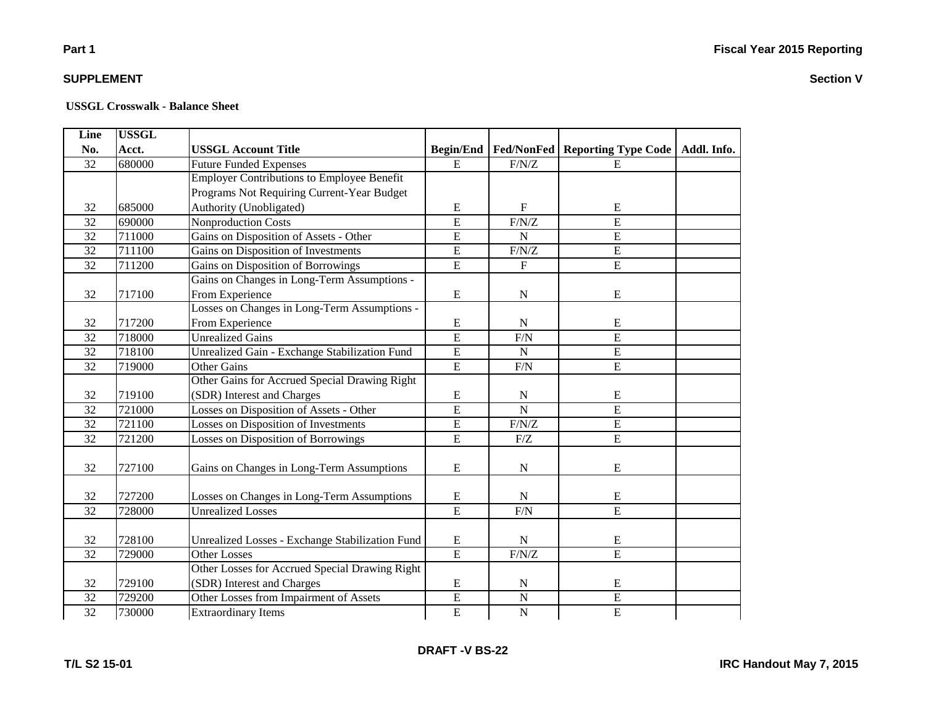# **Part 1**

### **SUPPLEMENT**

| <b>Line</b>     | <b>USSGL</b> |                                                        |                  |                         |                                   |  |
|-----------------|--------------|--------------------------------------------------------|------------------|-------------------------|-----------------------------------|--|
| No.             | Acct.        | <b>USSGL Account Title</b>                             | <b>Begin/End</b> | Fed/NonFed              | Reporting Type Code   Addl. Info. |  |
| 32              | 680000       | <b>Future Funded Expenses</b>                          | E                | F/N/Z                   | E                                 |  |
|                 |              | <b>Employer Contributions to Employee Benefit</b>      |                  |                         |                                   |  |
|                 |              | Programs Not Requiring Current-Year Budget             |                  |                         |                                   |  |
| 32              | 685000       | Authority (Unobligated)                                | E                | $\mathbf{F}$            | E                                 |  |
| 32              | 690000       | <b>Nonproduction Costs</b>                             | $\overline{E}$   | F/N/Z                   | $\overline{E}$                    |  |
| $\overline{32}$ | 711000       | Gains on Disposition of Assets - Other                 | $\overline{E}$   | $\overline{N}$          | $\overline{E}$                    |  |
| 32              | 711100       | Gains on Disposition of Investments                    | $\overline{E}$   | F/N/Z                   | $\overline{E}$                    |  |
| $\overline{32}$ | 711200       | Gains on Disposition of Borrowings                     | $\overline{E}$   | $\overline{\mathrm{F}}$ | $\overline{E}$                    |  |
|                 |              | Gains on Changes in Long-Term Assumptions -            |                  |                         |                                   |  |
| 32              | 717100       | From Experience                                        | ${\bf E}$        | ${\bf N}$               | E                                 |  |
|                 |              | Losses on Changes in Long-Term Assumptions -           |                  |                         |                                   |  |
| 32              | 717200       | From Experience                                        | E                | N                       | E                                 |  |
| 32              | 718000       | <b>Unrealized Gains</b>                                | $\overline{E}$   | F/N                     | $\overline{E}$                    |  |
| 32              | 718100       | Unrealized Gain - Exchange Stabilization Fund          | $\overline{E}$   | N                       | $\overline{E}$                    |  |
| 32              | 719000       | <b>Other Gains</b>                                     | E                | F/N                     | $\overline{E}$                    |  |
|                 |              | Other Gains for Accrued Special Drawing Right          |                  |                         |                                   |  |
| 32              | 719100       | (SDR) Interest and Charges                             | ${\bf E}$        | ${\bf N}$               | ${\bf E}$                         |  |
| $\overline{32}$ | 721000       | Losses on Disposition of Assets - Other                | $\overline{E}$   | $\overline{N}$          | $\overline{E}$                    |  |
| 32              | 721100       | Losses on Disposition of Investments                   | $\overline{E}$   | F/N/Z                   | $\overline{E}$                    |  |
| 32              | 721200       | Losses on Disposition of Borrowings                    | $\overline{E}$   | ${\rm F}/{\rm Z}$       | $\overline{E}$                    |  |
|                 |              |                                                        |                  |                         |                                   |  |
| 32              | 727100       | Gains on Changes in Long-Term Assumptions              | ${\bf E}$        | $\mathbf N$             | ${\bf E}$                         |  |
|                 |              |                                                        |                  |                         |                                   |  |
| 32              | 727200       | Losses on Changes in Long-Term Assumptions             | ${\bf E}$        | N                       | E                                 |  |
| 32              | 728000       | <b>Unrealized Losses</b>                               | $\overline{E}$   | F/N                     | $\overline{E}$                    |  |
|                 |              |                                                        |                  |                         |                                   |  |
| 32              | 728100       | <b>Unrealized Losses - Exchange Stabilization Fund</b> | ${\bf E}$        | ${\bf N}$               | ${\bf E}$                         |  |
| 32              | 729000       | <b>Other Losses</b>                                    | $\overline{E}$   | F/N/Z                   | $\overline{E}$                    |  |
|                 |              | Other Losses for Accrued Special Drawing Right         |                  |                         |                                   |  |
| 32              | 729100       | (SDR) Interest and Charges                             | ${\bf E}$        | N                       | E                                 |  |
| $\overline{32}$ | 729200       | Other Losses from Impairment of Assets                 | $\overline{E}$   | $\overline{N}$          | $\overline{E}$                    |  |
| $\overline{32}$ | 730000       | <b>Extraordinary Items</b>                             | E                | ${\bf N}$               | $\overline{E}$                    |  |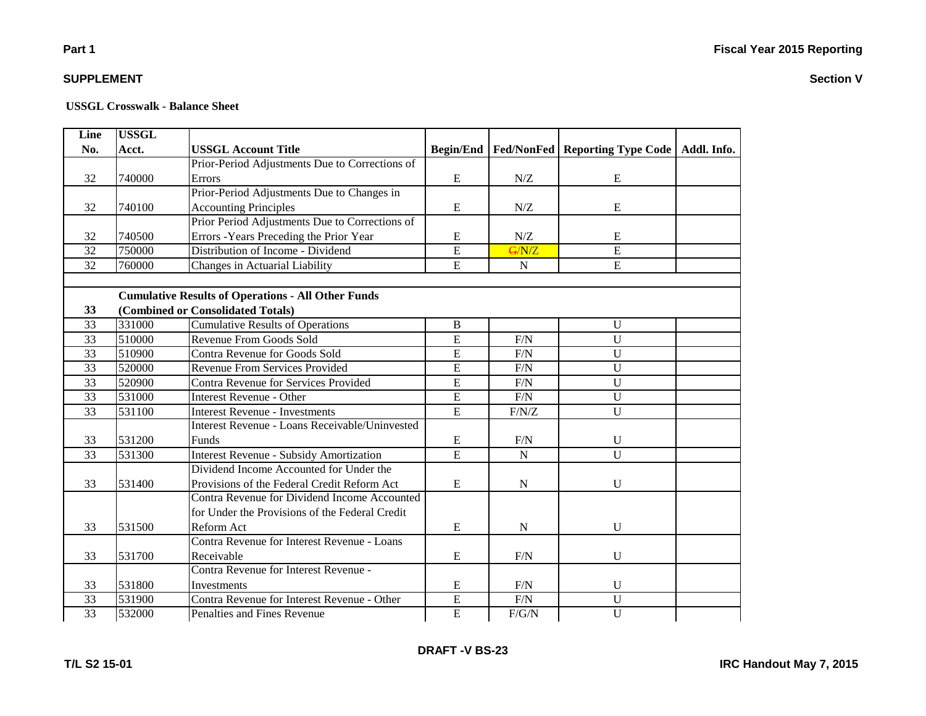| <b>Line</b>     | <b>USSGL</b> |                                                           |                  |                     |                                                       |  |
|-----------------|--------------|-----------------------------------------------------------|------------------|---------------------|-------------------------------------------------------|--|
| No.             | Acct.        | <b>USSGL Account Title</b>                                | <b>Begin/End</b> |                     | <b>Fed/NonFed   Reporting Type Code   Addl. Info.</b> |  |
|                 |              | Prior-Period Adjustments Due to Corrections of            |                  |                     |                                                       |  |
| 32              | 740000       | Errors                                                    | E                | $N\!/\!Z$           | E                                                     |  |
|                 |              | Prior-Period Adjustments Due to Changes in                |                  |                     |                                                       |  |
| 32              | 740100       | <b>Accounting Principles</b>                              | E                | N/Z                 | E                                                     |  |
|                 |              | Prior Period Adjustments Due to Corrections of            |                  |                     |                                                       |  |
| 32              | 740500       | Errors - Years Preceding the Prior Year                   | ${\bf E}$        | ${\rm N} / {\rm Z}$ | ${\bf E}$                                             |  |
| 32              | 750000       | Distribution of Income - Dividend                         | $\overline{E}$   | G/N/Z               | $\overline{E}$                                        |  |
| $\overline{32}$ | 760000       | Changes in Actuarial Liability                            | $\overline{E}$   | $\mathbf N$         | $\overline{E}$                                        |  |
|                 |              |                                                           |                  |                     |                                                       |  |
|                 |              | <b>Cumulative Results of Operations - All Other Funds</b> |                  |                     |                                                       |  |
| 33              |              | (Combined or Consolidated Totals)                         |                  |                     |                                                       |  |
| 33              | 331000       | <b>Cumulative Results of Operations</b>                   | B                |                     | U                                                     |  |
| 33              | 510000       | Revenue From Goods Sold                                   | E                | F/N                 | U                                                     |  |
| 33              | 510900       | Contra Revenue for Goods Sold                             | $\overline{E}$   | F/N                 | $\overline{U}$                                        |  |
| 33              | 520000       | <b>Revenue From Services Provided</b>                     | E                | $F/N$               | $\mathbf U$                                           |  |
| 33              | 520900       | Contra Revenue for Services Provided                      | E                | F/N                 | $\mathbf{U}$                                          |  |
| 33              | 531000       | <b>Interest Revenue - Other</b>                           | E                | F/N                 | $\mathbf U$                                           |  |
| 33              | 531100       | <b>Interest Revenue - Investments</b>                     | E                | F/N/Z               | $\overline{U}$                                        |  |
|                 |              | <b>Interest Revenue - Loans Receivable/Uninvested</b>     |                  |                     |                                                       |  |
| 33              | 531200       | Funds                                                     | ${\bf E}$        | F/N                 | $\mathbf U$                                           |  |
| 33              | 531300       | <b>Interest Revenue - Subsidy Amortization</b>            | $\overline{E}$   | $\mathbf N$         | $\overline{U}$                                        |  |
|                 |              | Dividend Income Accounted for Under the                   |                  |                     |                                                       |  |
| 33              | 531400       | Provisions of the Federal Credit Reform Act               | ${\bf E}$        | ${\bf N}$           | $\mathbf U$                                           |  |
|                 |              | Contra Revenue for Dividend Income Accounted              |                  |                     |                                                       |  |
|                 |              | for Under the Provisions of the Federal Credit            |                  |                     |                                                       |  |
| 33              | 531500       | Reform Act                                                | E                | N                   | U                                                     |  |
|                 |              | Contra Revenue for Interest Revenue - Loans               |                  |                     |                                                       |  |
| 33              | 531700       | Receivable                                                | ${\bf E}$        | F/N                 | $\mathbf U$                                           |  |
|                 |              | Contra Revenue for Interest Revenue -                     |                  |                     |                                                       |  |
| 33              | 531800       | Investments                                               | ${\bf E}$        | F/N                 | $\mathbf U$                                           |  |
| 33              | 531900       | Contra Revenue for Interest Revenue - Other               | $\overline{E}$   | $\rm F/N$           | $\overline{U}$                                        |  |
| 33              | 532000       | Penalties and Fines Revenue                               | $\overline{E}$   | F/G/N               | $\overline{U}$                                        |  |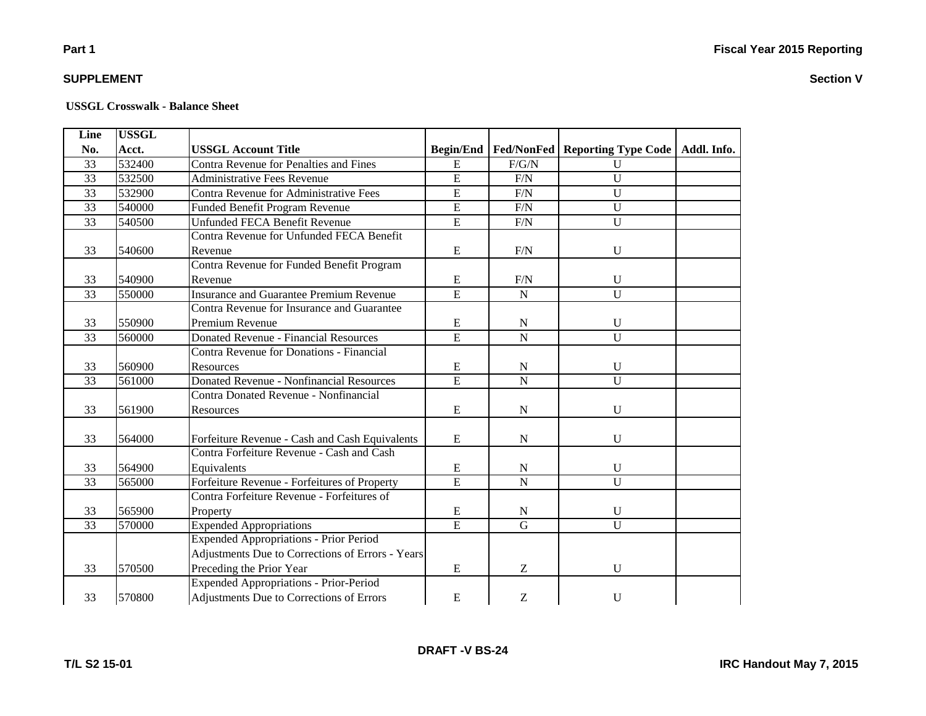**Section V**

# **Part 1**

### **SUPPLEMENT**

| Line            | <b>USSGL</b> |                                                  |                  |                   |                                   |  |
|-----------------|--------------|--------------------------------------------------|------------------|-------------------|-----------------------------------|--|
| No.             | Acct.        | <b>USSGL Account Title</b>                       | <b>Begin/End</b> | <b>Fed/NonFed</b> | Reporting Type Code   Addl. Info. |  |
| 33              | 532400       | <b>Contra Revenue for Penalties and Fines</b>    | $\mathbf E$      | F/G/N             | $\mathbf U$                       |  |
| 33              | 532500       | <b>Administrative Fees Revenue</b>               | $\overline{E}$   | F/N               | $\overline{U}$                    |  |
| 33              | 532900       | <b>Contra Revenue for Administrative Fees</b>    | $\overline{E}$   | F/N               | $\overline{U}$                    |  |
| $\overline{33}$ | 540000       | Funded Benefit Program Revenue                   | $\overline{E}$   | F/N               | $\overline{U}$                    |  |
| $\overline{33}$ | 540500       | <b>Unfunded FECA Benefit Revenue</b>             | $\overline{E}$   | F/N               | $\overline{U}$                    |  |
|                 |              | Contra Revenue for Unfunded FECA Benefit         |                  |                   |                                   |  |
| 33              | 540600       | Revenue                                          | E                | F/N               | U                                 |  |
|                 |              | Contra Revenue for Funded Benefit Program        |                  |                   |                                   |  |
| 33              | 540900       | Revenue                                          | ${\bf E}$        | F/N               | U                                 |  |
| 33              | 550000       | <b>Insurance and Guarantee Premium Revenue</b>   | $\overline{E}$   | ${\bf N}$         | $\overline{U}$                    |  |
|                 |              | Contra Revenue for Insurance and Guarantee       |                  |                   |                                   |  |
| 33              | 550900       | Premium Revenue                                  | ${\bf E}$        | ${\bf N}$         | $\mathbf{U}$                      |  |
| 33              | 560000       | Donated Revenue - Financial Resources            | $\overline{E}$   | $\overline{N}$    | $\overline{U}$                    |  |
|                 |              | <b>Contra Revenue for Donations - Financial</b>  |                  |                   |                                   |  |
| 33              | 560900       | <b>Resources</b>                                 | E                | N                 | $\mathbf{U}$                      |  |
| 33              | 561000       | <b>Donated Revenue - Nonfinancial Resources</b>  | $\overline{E}$   | $\overline{N}$    | $\overline{U}$                    |  |
|                 |              | Contra Donated Revenue - Nonfinancial            |                  |                   |                                   |  |
| 33              | 561900       | Resources                                        | E                | $\mathbf N$       | $\mathbf U$                       |  |
|                 |              |                                                  |                  |                   |                                   |  |
| 33              | 564000       | Forfeiture Revenue - Cash and Cash Equivalents   | E                | ${\bf N}$         | $\mathbf U$                       |  |
|                 |              | Contra Forfeiture Revenue - Cash and Cash        |                  |                   |                                   |  |
| 33              | 564900       | Equivalents                                      | E                | $\mathbf N$       | $\mathbf U$                       |  |
| 33              | 565000       | Forfeiture Revenue - Forfeitures of Property     | $\overline{E}$   | ${\bf N}$         | $\mathbf U$                       |  |
|                 |              | Contra Forfeiture Revenue - Forfeitures of       |                  |                   |                                   |  |
| 33              | 565900       | Property                                         | ${\bf E}$        | $\mathbf N$       | $\mathbf U$                       |  |
| $\overline{33}$ | 570000       | <b>Expended Appropriations</b>                   | $\overline{E}$   | $\overline{G}$    | $\mathbf{U}$                      |  |
|                 |              | Expended Appropriations - Prior Period           |                  |                   |                                   |  |
|                 |              | Adjustments Due to Corrections of Errors - Years |                  |                   |                                   |  |
| 33              | 570500       | Preceding the Prior Year                         | E                | Z                 | $\mathbf{U}$                      |  |
|                 |              | <b>Expended Appropriations - Prior-Period</b>    |                  |                   |                                   |  |
| 33              | 570800       | Adjustments Due to Corrections of Errors         | ${\bf E}$        | Z                 | $\mathbf U$                       |  |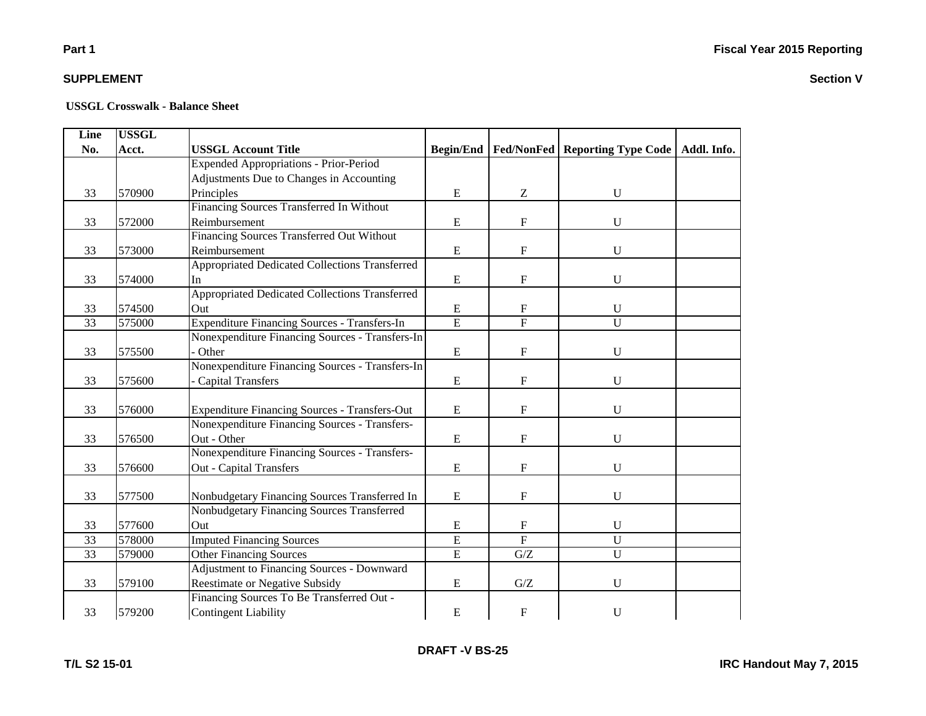# **Part 1**

### **SUPPLEMENT**

#### **USSGL Crosswalk - Balance Sheet**

| Line | <b>USSGL</b> |                                                      |                  |                           |                                                |  |
|------|--------------|------------------------------------------------------|------------------|---------------------------|------------------------------------------------|--|
| No.  | Acct.        | <b>USSGL Account Title</b>                           | <b>Begin/End</b> |                           | Fed/NonFed   Reporting Type Code   Addl. Info. |  |
|      |              | <b>Expended Appropriations - Prior-Period</b>        |                  |                           |                                                |  |
|      |              | Adjustments Due to Changes in Accounting             |                  |                           |                                                |  |
| 33   | 570900       | Principles                                           | $\mathbf E$      | Z                         | U                                              |  |
|      |              | Financing Sources Transferred In Without             |                  |                           |                                                |  |
| 33   | 572000       | Reimbursement                                        | E                | $\boldsymbol{\mathrm{F}}$ | U                                              |  |
|      |              | Financing Sources Transferred Out Without            |                  |                           |                                                |  |
| 33   | 573000       | Reimbursement                                        | $\mathbf E$      | $\mathbf F$               | $\mathbf U$                                    |  |
|      |              | Appropriated Dedicated Collections Transferred       |                  |                           |                                                |  |
| 33   | 574000       | In                                                   | ${\bf E}$        | ${\rm F}$                 | $\mathbf U$                                    |  |
|      |              | Appropriated Dedicated Collections Transferred       |                  |                           |                                                |  |
| 33   | 574500       | Out                                                  | ${\bf E}$        | $\mathbf F$               | U                                              |  |
| 33   | 575000       | <b>Expenditure Financing Sources - Transfers-In</b>  | $\overline{E}$   | $\overline{F}$            | $\overline{U}$                                 |  |
|      |              | Nonexpenditure Financing Sources - Transfers-In      |                  |                           |                                                |  |
| 33   | 575500       | Other                                                | ${\bf E}$        | ${\rm F}$                 | U                                              |  |
|      |              | Nonexpenditure Financing Sources - Transfers-In      |                  |                           |                                                |  |
| 33   | 575600       | <b>Capital Transfers</b>                             | E                | ${\bf F}$                 | U                                              |  |
|      |              |                                                      |                  |                           |                                                |  |
| 33   | 576000       | <b>Expenditure Financing Sources - Transfers-Out</b> | E                | F                         | U                                              |  |
|      |              | Nonexpenditure Financing Sources - Transfers-        |                  |                           |                                                |  |
| 33   | 576500       | Out - Other                                          | E                | F                         | U                                              |  |
|      |              | Nonexpenditure Financing Sources - Transfers-        |                  |                           |                                                |  |
| 33   | 576600       | <b>Out - Capital Transfers</b>                       | ${\bf E}$        | ${\rm F}$                 | $\mathbf U$                                    |  |
|      |              |                                                      |                  |                           |                                                |  |
| 33   | 577500       | Nonbudgetary Financing Sources Transferred In        | ${\bf E}$        | F                         | U                                              |  |
|      |              | Nonbudgetary Financing Sources Transferred           |                  |                           |                                                |  |
| 33   | 577600       | Out                                                  | E                | $\mathbf{F}$              | $\mathbf U$                                    |  |
| 33   | 578000       | <b>Imputed Financing Sources</b>                     | E                | $\overline{\mathrm{F}}$   | $\overline{U}$                                 |  |
| 33   | 579000       | <b>Other Financing Sources</b>                       | $\overline{E}$   | G/Z                       | $\overline{U}$                                 |  |
|      |              | <b>Adjustment to Financing Sources - Downward</b>    |                  |                           |                                                |  |
| 33   | 579100       | <b>Reestimate or Negative Subsidy</b>                | E                | G/Z                       | U                                              |  |
|      |              | Financing Sources To Be Transferred Out -            |                  |                           |                                                |  |
| 33   | 579200       | <b>Contingent Liability</b>                          | ${\bf E}$        | F                         | U                                              |  |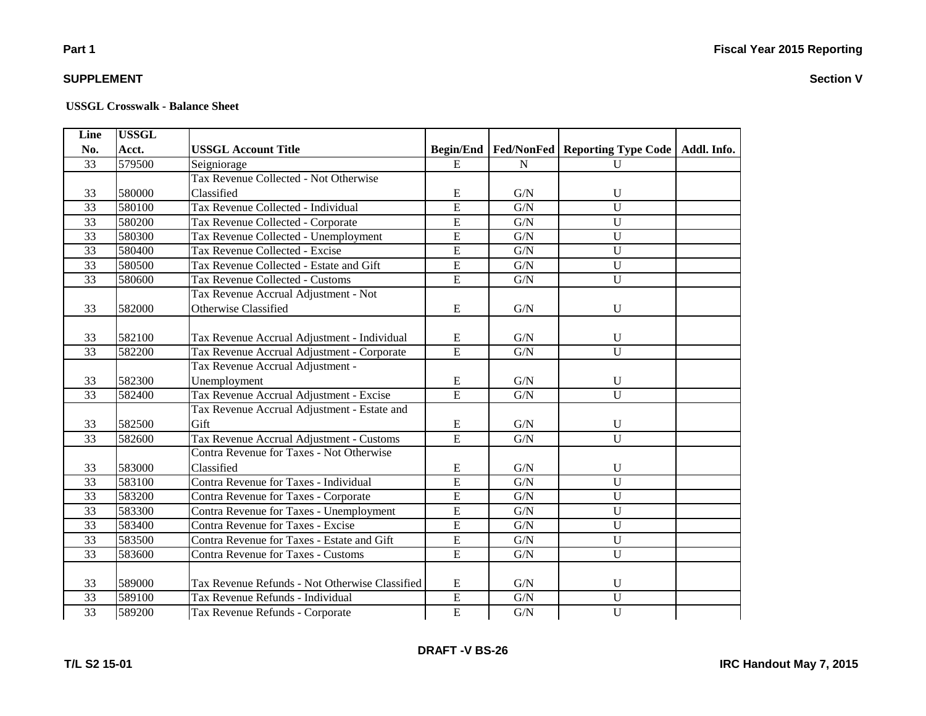**Section V**

# **Part 1**

### **SUPPLEMENT**

#### **USSGL Crosswalk - Balance Sheet**

| Line            | <b>USSGL</b> |                                                 |                  |             |                                  |             |
|-----------------|--------------|-------------------------------------------------|------------------|-------------|----------------------------------|-------------|
| No.             | Acct.        | <b>USSGL Account Title</b>                      | <b>Begin/End</b> |             | Fed/NonFed   Reporting Type Code | Addl. Info. |
| 33              | 579500       | Seigniorage                                     | E                | N           | $\mathbf{U}$                     |             |
|                 |              | Tax Revenue Collected - Not Otherwise           |                  |             |                                  |             |
| 33              | 580000       | Classified                                      | E                | G/N         | $\mathbf U$                      |             |
| $\overline{33}$ | 580100       | Tax Revenue Collected - Individual              | E                | G/N         | $\overline{U}$                   |             |
| $\overline{33}$ | 580200       | Tax Revenue Collected - Corporate               | $\overline{E}$   | G/N         | $\overline{U}$                   |             |
| $\overline{33}$ | 580300       | Tax Revenue Collected - Unemployment            | $\overline{E}$   | G/N         | $\overline{U}$                   |             |
| 33              | 580400       | Tax Revenue Collected - Excise                  | $\overline{E}$   | G/N         | $\overline{U}$                   |             |
| $\overline{33}$ | 580500       | Tax Revenue Collected - Estate and Gift         | $\overline{E}$   | G/N         | $\overline{U}$                   |             |
| $\overline{33}$ | 580600       | Tax Revenue Collected - Customs                 | $\overline{E}$   | ${\rm G/N}$ | $\mathbf U$                      |             |
|                 |              | Tax Revenue Accrual Adjustment - Not            |                  |             |                                  |             |
| 33              | 582000       | Otherwise Classified                            | E                | ${\rm G/N}$ | $\mathbf U$                      |             |
|                 |              |                                                 |                  |             |                                  |             |
| 33              | 582100       | Tax Revenue Accrual Adjustment - Individual     | E                | G/N         | $\mathbf U$                      |             |
| 33              | 582200       | Tax Revenue Accrual Adjustment - Corporate      | $\overline{E}$   | G/N         | $\mathbf U$                      |             |
|                 |              | Tax Revenue Accrual Adjustment -                |                  |             |                                  |             |
| 33              | 582300       | Unemployment                                    | E                | ${\rm G/N}$ | $\mathbf U$                      |             |
| $\overline{33}$ | 582400       | Tax Revenue Accrual Adjustment - Excise         | E                | G/N         | $\overline{U}$                   |             |
|                 |              | Tax Revenue Accrual Adjustment - Estate and     |                  |             |                                  |             |
| 33              | 582500       | Gift                                            | ${\bf E}$        | G/N         | $\mathbf U$                      |             |
| 33              | 582600       | Tax Revenue Accrual Adjustment - Customs        | $\overline{E}$   | ${\rm G/N}$ | $\overline{U}$                   |             |
|                 |              | <b>Contra Revenue for Taxes - Not Otherwise</b> |                  |             |                                  |             |
| 33              | 583000       | Classified                                      | $\mathbf E$      | G/N         | U                                |             |
| 33              | 583100       | Contra Revenue for Taxes - Individual           | $\overline{E}$   | G/N         | $\overline{U}$                   |             |
| 33              | 583200       | Contra Revenue for Taxes - Corporate            | $\overline{E}$   | ${\rm G/N}$ | $\overline{U}$                   |             |
| 33              | 583300       | Contra Revenue for Taxes - Unemployment         | $\overline{E}$   | G/N         | $\overline{U}$                   |             |
| 33              | 583400       | Contra Revenue for Taxes - Excise               | $\overline{E}$   | G/N         | $\overline{U}$                   |             |
| 33              | 583500       | Contra Revenue for Taxes - Estate and Gift      | E                | G/N         | $\overline{U}$                   |             |
| 33              | 583600       | <b>Contra Revenue for Taxes - Customs</b>       | $\overline{E}$   | G/N         | $\overline{U}$                   |             |
|                 |              |                                                 |                  |             |                                  |             |
| 33              | 589000       | Tax Revenue Refunds - Not Otherwise Classified  | E                | G/N         | $\mathbf U$                      |             |
| 33              | 589100       | Tax Revenue Refunds - Individual                | $\overline{E}$   | G/N         | $\mathbf U$                      |             |
| $\overline{33}$ | 589200       | Tax Revenue Refunds - Corporate                 | $\overline{E}$   | ${\rm G/N}$ | $\overline{U}$                   |             |

**T/L S2 15-01**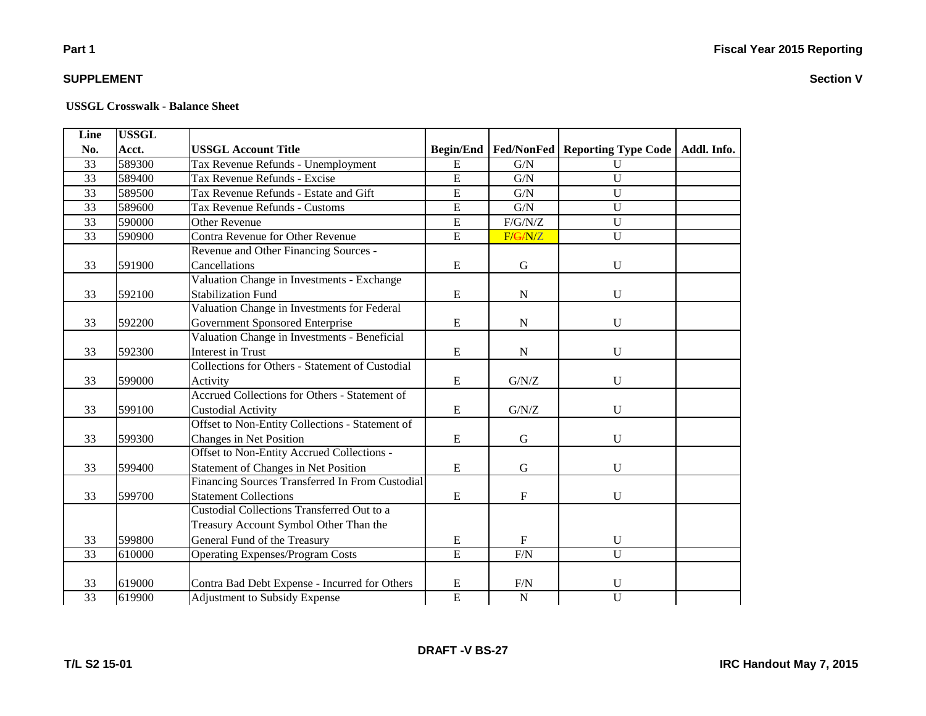**Section V**

# **Part 1**

### **SUPPLEMENT**

| Line            | <b>USSGL</b> |                                                 |                  |                |                                                |  |
|-----------------|--------------|-------------------------------------------------|------------------|----------------|------------------------------------------------|--|
| No.             | Acct.        | <b>USSGL Account Title</b>                      | <b>Begin/End</b> |                | Fed/NonFed   Reporting Type Code   Addl. Info. |  |
| 33              | 589300       | Tax Revenue Refunds - Unemployment              | E                | G/N            | $\mathbf U$                                    |  |
| 33              | 589400       | Tax Revenue Refunds - Excise                    | $\overline{E}$   | G/N            | $\overline{U}$                                 |  |
| 33              | 589500       | Tax Revenue Refunds - Estate and Gift           | $\overline{E}$   | G/N            | $\overline{U}$                                 |  |
| 33              | 589600       | Tax Revenue Refunds - Customs                   | $\overline{E}$   | G/N            | $\overline{U}$                                 |  |
| $\overline{33}$ | 590000       | <b>Other Revenue</b>                            | $\overline{E}$   | F/G/N/Z        | $\overline{U}$                                 |  |
| $\overline{33}$ | 590900       | Contra Revenue for Other Revenue                | $\overline{E}$   | F/G/N/Z        | $\overline{U}$                                 |  |
|                 |              | Revenue and Other Financing Sources -           |                  |                |                                                |  |
| 33              | 591900       | Cancellations                                   | E                | $\mathbf G$    | $\mathbf U$                                    |  |
|                 |              | Valuation Change in Investments - Exchange      |                  |                |                                                |  |
| 33              | 592100       | <b>Stabilization Fund</b>                       | ${\bf E}$        | ${\bf N}$      | U                                              |  |
|                 |              | Valuation Change in Investments for Federal     |                  |                |                                                |  |
| 33              | 592200       | Government Sponsored Enterprise                 | E                | ${\bf N}$      | $\mathbf U$                                    |  |
|                 |              | Valuation Change in Investments - Beneficial    |                  |                |                                                |  |
| 33              | 592300       | <b>Interest in Trust</b>                        | ${\bf E}$        | ${\bf N}$      | $\mathbf U$                                    |  |
|                 |              | Collections for Others - Statement of Custodial |                  |                |                                                |  |
| 33              | 599000       | Activity                                        | ${\bf E}$        | ${\rm G/N/Z}$  | $\mathbf U$                                    |  |
|                 |              | Accrued Collections for Others - Statement of   |                  |                |                                                |  |
| 33              | 599100       | <b>Custodial Activity</b>                       | ${\bf E}$        | ${\rm G/N/Z}$  | $\mathbf U$                                    |  |
|                 |              | Offset to Non-Entity Collections - Statement of |                  |                |                                                |  |
| 33              | 599300       | Changes in Net Position                         | ${\bf E}$        | $\mathbf G$    | $\mathbf U$                                    |  |
|                 |              | Offset to Non-Entity Accrued Collections -      |                  |                |                                                |  |
| 33              | 599400       | <b>Statement of Changes in Net Position</b>     | E                | G              | U                                              |  |
|                 |              | Financing Sources Transferred In From Custodial |                  |                |                                                |  |
| 33              | 599700       | <b>Statement Collections</b>                    | ${\bf E}$        | $\mathbf F$    | U                                              |  |
|                 |              | Custodial Collections Transferred Out to a      |                  |                |                                                |  |
|                 |              | Treasury Account Symbol Other Than the          |                  |                |                                                |  |
| 33              | 599800       | General Fund of the Treasury                    | ${\bf E}$        | $\mathbf F$    | $\mathbf U$                                    |  |
| $\overline{33}$ | 610000       | <b>Operating Expenses/Program Costs</b>         | $\overline{E}$   | F/N            | $\overline{U}$                                 |  |
|                 |              |                                                 |                  |                |                                                |  |
| 33              | 619000       | Contra Bad Debt Expense - Incurred for Others   | ${\bf E}$        | F/N            | $\mathbf U$                                    |  |
| $\overline{33}$ | 619900       | <b>Adjustment to Subsidy Expense</b>            | $\overline{E}$   | $\overline{N}$ | $\overline{U}$                                 |  |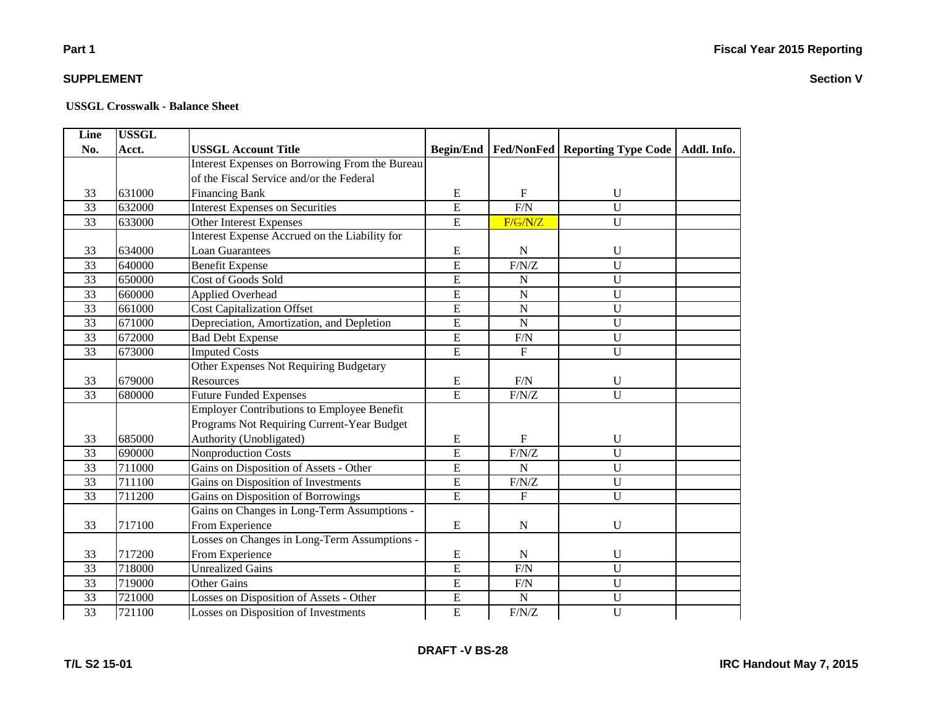# **Part 1**

### **SUPPLEMENT**

| Line            | <b>USSGL</b> |                                                   |                |             |                                                            |  |
|-----------------|--------------|---------------------------------------------------|----------------|-------------|------------------------------------------------------------|--|
| No.             | Acct.        | <b>USSGL Account Title</b>                        |                |             | Begin/End   Fed/NonFed   Reporting Type Code   Addl. Info. |  |
|                 |              | Interest Expenses on Borrowing From the Bureau    |                |             |                                                            |  |
|                 |              | of the Fiscal Service and/or the Federal          |                |             |                                                            |  |
| 33              | 631000       | <b>Financing Bank</b>                             | E              | $\mathbf F$ | $\mathbf U$                                                |  |
| $\overline{33}$ | 632000       | <b>Interest Expenses on Securities</b>            | $\overline{E}$ | F/N         | $\overline{U}$                                             |  |
| 33              | 633000       | <b>Other Interest Expenses</b>                    | $\overline{E}$ | F/G/N/Z     | $\overline{U}$                                             |  |
|                 |              | Interest Expense Accrued on the Liability for     |                |             |                                                            |  |
| 33              | 634000       | <b>Loan Guarantees</b>                            | ${\bf E}$      | $\mathbf N$ | $\mathbf U$                                                |  |
| $\overline{33}$ | 640000       | <b>Benefit Expense</b>                            | $\overline{E}$ | F/N/Z       | $\overline{U}$                                             |  |
| 33              | 650000       | <b>Cost of Goods Sold</b>                         | $\overline{E}$ | N           | $\mathbf U$                                                |  |
| 33              | 660000       | Applied Overhead                                  | $\overline{E}$ | $\mathbf N$ | U                                                          |  |
| 33              | 661000       | Cost Capitalization Offset                        | ${\bf E}$      | $\mathbf N$ | $\mathbf U$                                                |  |
| 33              | 671000       | Depreciation, Amortization, and Depletion         | $\overline{E}$ | $\mathbf N$ | $\overline{U}$                                             |  |
| 33              | 672000       | <b>Bad Debt Expense</b>                           | $\mathbf E$    | F/N         | $\mathbf U$                                                |  |
| $\overline{33}$ | 673000       | <b>Imputed Costs</b>                              | $\overline{E}$ | $\mathbf F$ | $\overline{U}$                                             |  |
|                 |              | Other Expenses Not Requiring Budgetary            |                |             |                                                            |  |
| 33              | 679000       | Resources                                         | E              | F/N         | $\mathbf U$                                                |  |
| 33              | 680000       | <b>Future Funded Expenses</b>                     | $\overline{E}$ | $F/N/Z$     | $\overline{U}$                                             |  |
|                 |              | <b>Employer Contributions to Employee Benefit</b> |                |             |                                                            |  |
|                 |              | Programs Not Requiring Current-Year Budget        |                |             |                                                            |  |
| 33              | 685000       | Authority (Unobligated)                           | Ε              | F           | $\mathbf{U}$                                               |  |
| 33              | 690000       | <b>Nonproduction Costs</b>                        | $\overline{E}$ | F/N/Z       | $\overline{U}$                                             |  |
| 33              | 711000       | Gains on Disposition of Assets - Other            | $\mathbf E$    | $\mathbf N$ | U                                                          |  |
| 33              | 711100       | Gains on Disposition of Investments               | $\overline{E}$ | F/N/Z       | $\overline{U}$                                             |  |
| 33              | 711200       | Gains on Disposition of Borrowings                | $\overline{E}$ | $\mathbf F$ | $\overline{U}$                                             |  |
|                 |              | Gains on Changes in Long-Term Assumptions -       |                |             |                                                            |  |
| 33              | 717100       | From Experience                                   | E              | ${\bf N}$   | $\mathbf U$                                                |  |
|                 |              | Losses on Changes in Long-Term Assumptions -      |                |             |                                                            |  |
| 33              | 717200       | From Experience                                   | ${\bf E}$      | ${\bf N}$   | $\mathbf U$                                                |  |
| $\overline{33}$ | 718000       | <b>Unrealized Gains</b>                           | $\overline{E}$ | F/N         | $\overline{U}$                                             |  |
| 33              | 719000       | <b>Other Gains</b>                                | $\overline{E}$ | F/N         | $\overline{U}$                                             |  |
| 33              | 721000       | Losses on Disposition of Assets - Other           | ${\bf E}$      | ${\bf N}$   | $\mathbf U$                                                |  |
| $\overline{33}$ | 721100       | <b>Losses on Disposition of Investments</b>       | $\overline{E}$ | F/N/Z       | $\overline{U}$                                             |  |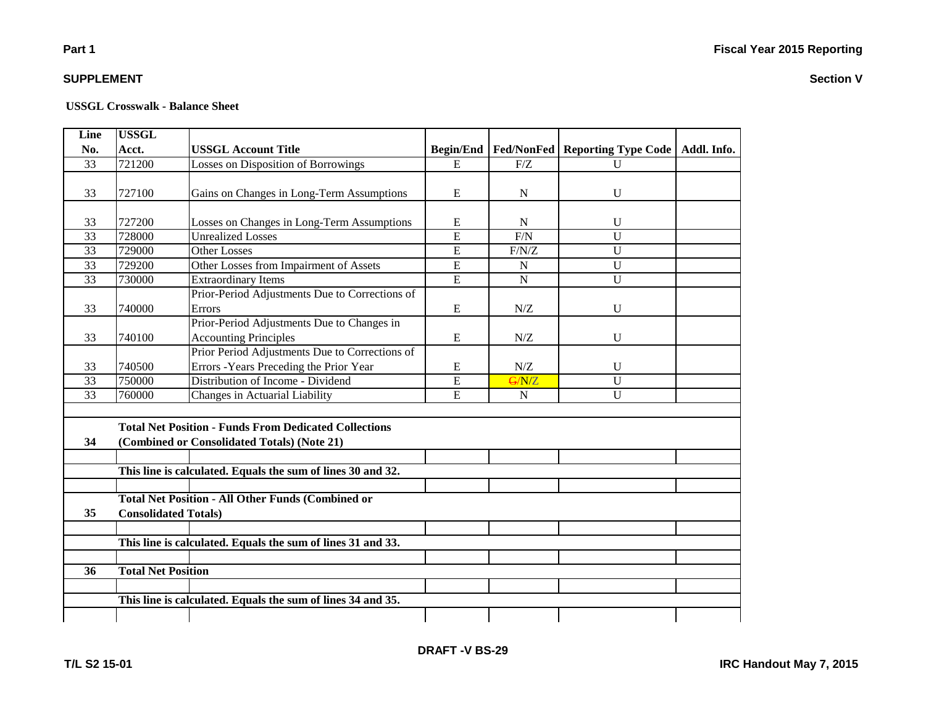### **Part 1**

### **SUPPLEMENT**

#### **USSGL Crosswalk - Balance Sheet**

| <b>Line</b>     | <b>USSGL</b>                |                                                              |                  |                |                                   |  |
|-----------------|-----------------------------|--------------------------------------------------------------|------------------|----------------|-----------------------------------|--|
| No.             | Acct.                       | <b>USSGL Account Title</b>                                   | <b>Begin/End</b> | Fed/NonFed     | Reporting Type Code   Addl. Info. |  |
| 33              | 721200                      | Losses on Disposition of Borrowings                          | ${\bf E}$        | F/Z            | $\mathbf{U}$                      |  |
|                 |                             |                                                              |                  |                |                                   |  |
| 33              | 727100                      | Gains on Changes in Long-Term Assumptions                    | E                | N              | U                                 |  |
|                 |                             |                                                              |                  |                |                                   |  |
| 33              | 727200                      | Losses on Changes in Long-Term Assumptions                   | E                | N              | U                                 |  |
| 33              | 728000                      | <b>Unrealized Losses</b>                                     | E                | F/N            | U                                 |  |
| $\overline{33}$ | 729000                      | <b>Other Losses</b>                                          | E                | F/N/Z          | U                                 |  |
| 33              | 729200                      | Other Losses from Impairment of Assets                       | E                | $\mathbf N$    | U                                 |  |
| 33              | 730000                      | <b>Extraordinary Items</b>                                   | E                | $\overline{N}$ | $\overline{U}$                    |  |
|                 |                             | Prior-Period Adjustments Due to Corrections of               |                  |                |                                   |  |
| 33              | 740000                      | Errors                                                       | E                | N/Z            | U                                 |  |
|                 |                             | Prior-Period Adjustments Due to Changes in                   |                  |                |                                   |  |
| 33              | 740100                      | <b>Accounting Principles</b>                                 | E                | N/Z            | U                                 |  |
|                 |                             | Prior Period Adjustments Due to Corrections of               |                  |                |                                   |  |
| 33              | 740500                      | Errors - Years Preceding the Prior Year                      | E                | N/Z            | U                                 |  |
| 33              | 750000                      | Distribution of Income - Dividend                            | E                | G/N/Z          | U                                 |  |
| 33              | 760000                      | Changes in Actuarial Liability                               | E                | $\mathbf N$    | U                                 |  |
|                 |                             |                                                              |                  |                |                                   |  |
|                 |                             | <b>Total Net Position - Funds From Dedicated Collections</b> |                  |                |                                   |  |
| 34              |                             | (Combined or Consolidated Totals) (Note 21)                  |                  |                |                                   |  |
|                 |                             |                                                              |                  |                |                                   |  |
|                 |                             | This line is calculated. Equals the sum of lines 30 and 32.  |                  |                |                                   |  |
|                 |                             |                                                              |                  |                |                                   |  |
|                 |                             | <b>Total Net Position - All Other Funds (Combined or</b>     |                  |                |                                   |  |
| 35              | <b>Consolidated Totals)</b> |                                                              |                  |                |                                   |  |
|                 |                             |                                                              |                  |                |                                   |  |
|                 |                             | This line is calculated. Equals the sum of lines 31 and 33.  |                  |                |                                   |  |
|                 |                             |                                                              |                  |                |                                   |  |
| 36              | <b>Total Net Position</b>   |                                                              |                  |                |                                   |  |
|                 |                             |                                                              |                  |                |                                   |  |
|                 |                             | This line is calculated. Equals the sum of lines 34 and 35.  |                  |                |                                   |  |
|                 |                             |                                                              |                  |                |                                   |  |
|                 |                             |                                                              |                  |                |                                   |  |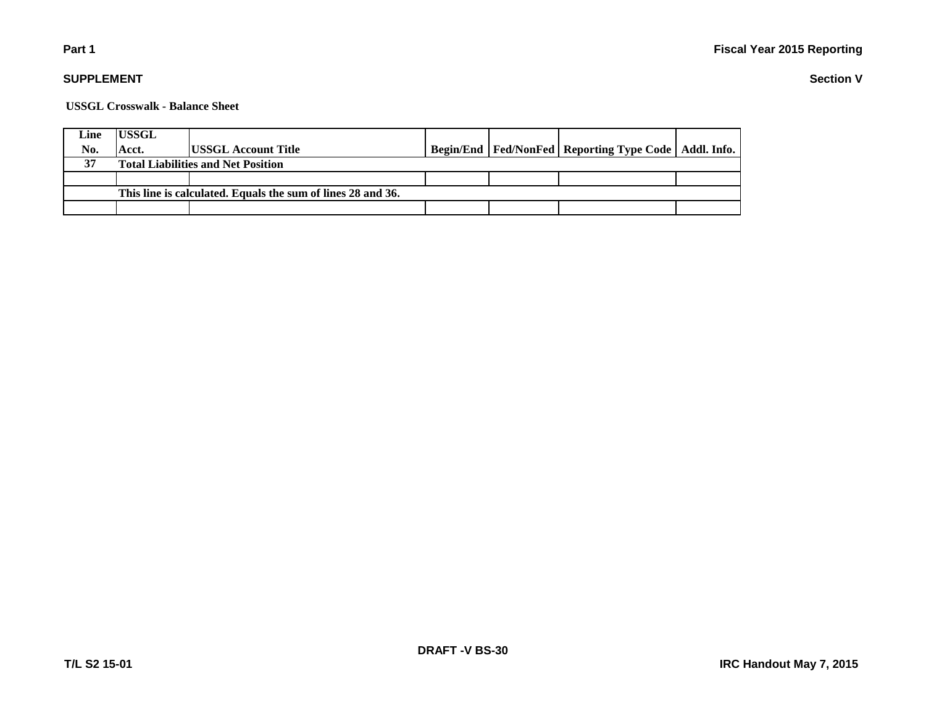### **Part 1**

### **SUPPLEMENT**

**USSGL Crosswalk - Balance Sheet**

| Line                                                        | <b>IUSSGL</b>                             |                             |  |  |                                                            |  |  |
|-------------------------------------------------------------|-------------------------------------------|-----------------------------|--|--|------------------------------------------------------------|--|--|
| No.                                                         | Acct.                                     | <b>IUSSGL Account Title</b> |  |  | Begin/End   Fed/NonFed   Reporting Type Code   Addl. Info. |  |  |
| 37                                                          | <b>Total Liabilities and Net Position</b> |                             |  |  |                                                            |  |  |
|                                                             |                                           |                             |  |  |                                                            |  |  |
| This line is calculated. Equals the sum of lines 28 and 36. |                                           |                             |  |  |                                                            |  |  |
|                                                             |                                           |                             |  |  |                                                            |  |  |